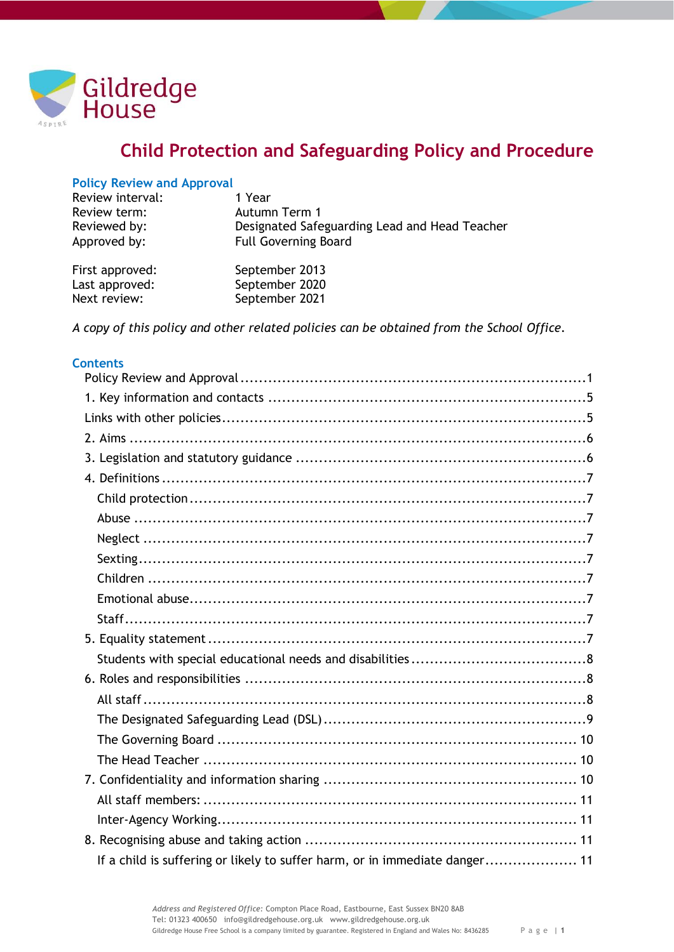

# **Child Protection and Safeguarding Policy and Procedure**

## <span id="page-0-0"></span>**Policy Review and Approval**

| Review interval: | 1 Year                                        |
|------------------|-----------------------------------------------|
| Review term:     | Autumn Term 1                                 |
| Reviewed by:     | Designated Safeguarding Lead and Head Teacher |
| Approved by:     | <b>Full Governing Board</b>                   |
|                  |                                               |

| First approved: | September 2013 |
|-----------------|----------------|
| Last approved:  | September 2020 |
| Next review:    | September 2021 |

*A copy of this policy and other related policies can be obtained from the School Office.*

## **Contents**

| If a child is suffering or likely to suffer harm, or in immediate danger 11 |  |
|-----------------------------------------------------------------------------|--|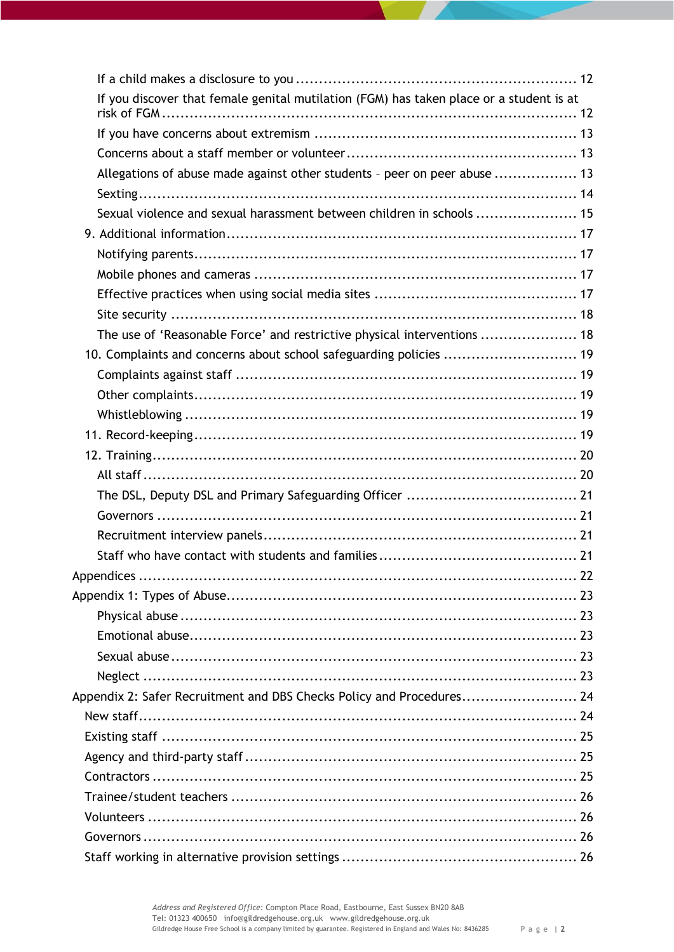| If you discover that female genital mutilation (FGM) has taken place or a student is at |  |
|-----------------------------------------------------------------------------------------|--|
|                                                                                         |  |
|                                                                                         |  |
| Allegations of abuse made against other students - peer on peer abuse  13               |  |
|                                                                                         |  |
| Sexual violence and sexual harassment between children in schools  15                   |  |
|                                                                                         |  |
|                                                                                         |  |
|                                                                                         |  |
|                                                                                         |  |
|                                                                                         |  |
| The use of 'Reasonable Force' and restrictive physical interventions  18                |  |
| 10. Complaints and concerns about school safeguarding policies  19                      |  |
|                                                                                         |  |
|                                                                                         |  |
|                                                                                         |  |
|                                                                                         |  |
|                                                                                         |  |
|                                                                                         |  |
|                                                                                         |  |
|                                                                                         |  |
|                                                                                         |  |
|                                                                                         |  |
|                                                                                         |  |
|                                                                                         |  |
|                                                                                         |  |
|                                                                                         |  |
|                                                                                         |  |
|                                                                                         |  |
| Appendix 2: Safer Recruitment and DBS Checks Policy and Procedures 24                   |  |
|                                                                                         |  |
|                                                                                         |  |
|                                                                                         |  |
|                                                                                         |  |
|                                                                                         |  |
|                                                                                         |  |
|                                                                                         |  |
|                                                                                         |  |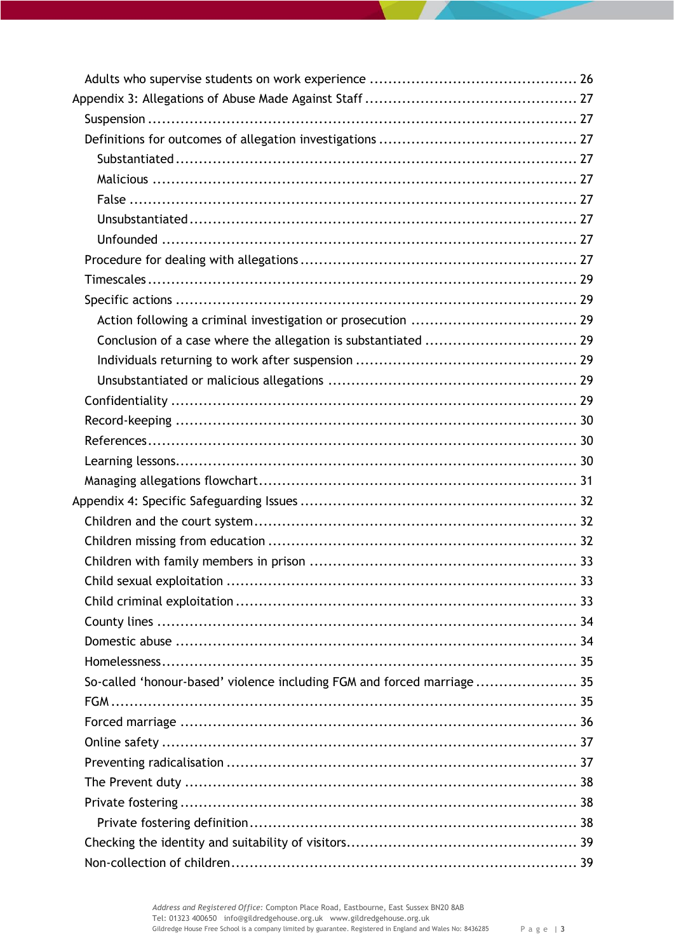| So-called 'honour-based' violence including FGM and forced marriage 35 |  |
|------------------------------------------------------------------------|--|
|                                                                        |  |
|                                                                        |  |
|                                                                        |  |
|                                                                        |  |
|                                                                        |  |
|                                                                        |  |
|                                                                        |  |
|                                                                        |  |
|                                                                        |  |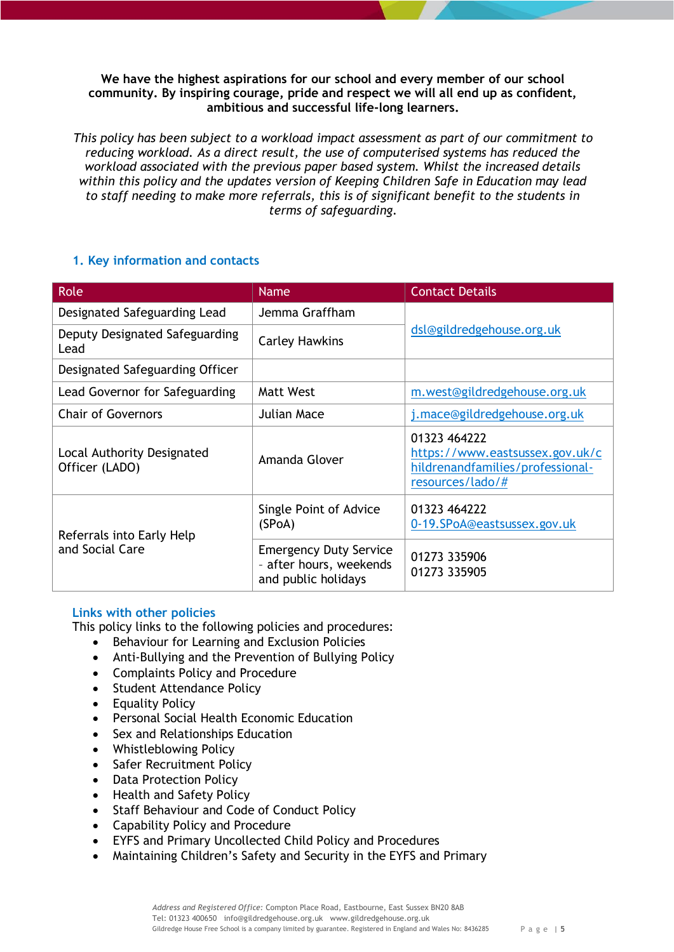**We have the highest aspirations for our school and every member of our school community. By inspiring courage, pride and respect we will all end up as confident, ambitious and successful life-long learners.**

*This policy has been subject to a workload impact assessment as part of our commitment to reducing workload. As a direct result, the use of computerised systems has reduced the workload associated with the previous paper based system. Whilst the increased details within this policy and the updates version of Keeping Children Safe in Education may lead to staff needing to make more referrals, this is of significant benefit to the students in terms of safeguarding.*

# <span id="page-4-0"></span>**1. Key information and contacts**

| Role                                         | <b>Name</b>                                                                     | <b>Contact Details</b>                                                                                  |
|----------------------------------------------|---------------------------------------------------------------------------------|---------------------------------------------------------------------------------------------------------|
| Designated Safeguarding Lead                 | Jemma Graffham                                                                  |                                                                                                         |
| Deputy Designated Safeguarding<br>Lead       | <b>Carley Hawkins</b>                                                           | dsl@gildredgehouse.org.uk                                                                               |
| Designated Safeguarding Officer              |                                                                                 |                                                                                                         |
| Lead Governor for Safeguarding               | Matt West                                                                       | m.west@gildredgehouse.org.uk                                                                            |
| <b>Chair of Governors</b>                    | <b>Julian Mace</b>                                                              | j.mace@gildredgehouse.org.uk                                                                            |
| Local Authority Designated<br>Officer (LADO) | Amanda Glover                                                                   | 01323 464222<br>https://www.eastsussex.gov.uk/c<br>hildrenandfamilies/professional-<br>resources/lado/# |
| Referrals into Early Help                    | Single Point of Advice<br>(SPoA)                                                | 01323 464222<br>0-19.SPoA@eastsussex.gov.uk                                                             |
| and Social Care                              | <b>Emergency Duty Service</b><br>- after hours, weekends<br>and public holidays | 01273 335906<br>01273 335905                                                                            |

# <span id="page-4-1"></span>**Links with other policies**

This policy links to the following policies and procedures:

- Behaviour for Learning and Exclusion Policies
- Anti-Bullying and the Prevention of Bullying Policy
- Complaints Policy and Procedure
- Student Attendance Policy
- Equality Policy
- Personal Social Health Economic Education
- Sex and Relationships Education
- Whistleblowing Policy
- Safer Recruitment Policy
- Data Protection Policy
- Health and Safety Policy
- Staff Behaviour and Code of Conduct Policy
- Capability Policy and Procedure
- EYFS and Primary Uncollected Child Policy and Procedures
- Maintaining Children's Safety and Security in the EYFS and Primary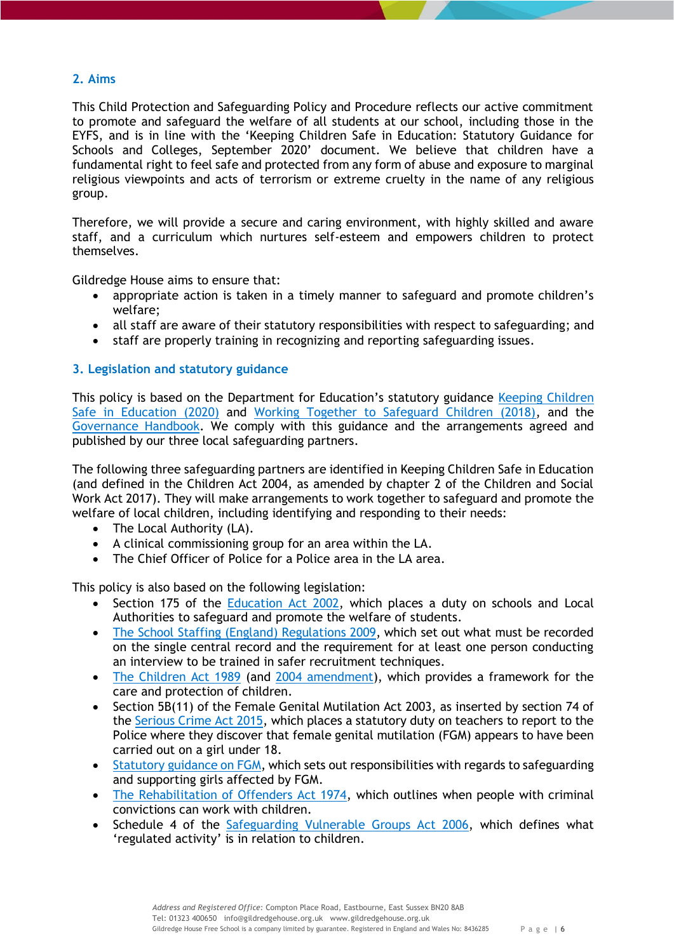# <span id="page-5-0"></span>**2. Aims**

This Child Protection and Safeguarding Policy and Procedure reflects our active commitment to promote and safeguard the welfare of all students at our school, including those in the EYFS, and is in line with the 'Keeping Children Safe in Education: Statutory Guidance for Schools and Colleges, September 2020' document. We believe that children have a fundamental right to feel safe and protected from any form of abuse and exposure to marginal religious viewpoints and acts of terrorism or extreme cruelty in the name of any religious group.

Therefore, we will provide a secure and caring environment, with highly skilled and aware staff, and a curriculum which nurtures self-esteem and empowers children to protect themselves.

Gildredge House aims to ensure that:

- appropriate action is taken in a timely manner to safeguard and promote children's welfare;
- all staff are aware of their statutory responsibilities with respect to safeguarding; and
- staff are properly training in recognizing and reporting safeguarding issues.

# <span id="page-5-1"></span>**3. Legislation and statutory guidance**

This policy is based on the Department for Education's statutory guidance Keeping Children Safe in [Education \(2020\)](https://www.gov.uk/government/publications/keeping-children-safe-in-education--2) and [Working Together to Safeguard Children \(2018\),](https://www.gov.uk/government/publications/working-together-to-safeguard-children--2) and the [Governance Handbook.](https://www.gov.uk/government/publications/governance-handbook) We comply with this guidance and the arrangements agreed and published by our three local safeguarding partners.

The following three safeguarding partners are identified in Keeping Children Safe in Education (and defined in the Children Act 2004, as amended by chapter 2 of the Children and Social Work Act 2017). They will make arrangements to work together to safeguard and promote the welfare of local children, including identifying and responding to their needs:

- The Local Authority (LA).
- A clinical commissioning group for an area within the LA.
- The Chief Officer of Police for a Police area in the LA area.

This policy is also based on the following legislation:

- Section 175 of the [Education Act 2002,](http://www.legislation.gov.uk/ukpga/2002/32/section/175) which places a duty on schools and Local Authorities to safeguard and promote the welfare of students.
- [The School Staffing \(England\) Regulations 2009,](http://www.legislation.gov.uk/uksi/2009/2680/contents/made) which set out what must be recorded on the single central record and the requirement for at least one person conducting an interview to be trained in safer recruitment techniques.
- [The Children Act 1989](http://www.legislation.gov.uk/ukpga/1989/41) (and [2004 amendment\)](http://www.legislation.gov.uk/ukpga/2004/31/contents), which provides a framework for the care and protection of children.
- Section 5B(11) of the Female Genital Mutilation Act 2003, as inserted by section 74 of the [Serious Crime Act 2015,](http://www.legislation.gov.uk/ukpga/2015/9/part/5/crossheading/female-genital-mutilation) which places a statutory duty on teachers to report to the Police where they discover that female genital mutilation (FGM) appears to have been carried out on a girl under 18.
- [Statutory guidance on FGM,](https://www.gov.uk/government/publications/multi-agency-statutory-guidance-on-female-genital-mutilation) which sets out responsibilities with regards to safeguarding and supporting girls affected by FGM.
- [The Rehabilitation of Offenders Act 1974,](http://www.legislation.gov.uk/ukpga/1974/53) which outlines when people with criminal convictions can work with children.
- Schedule 4 of the [Safeguarding Vulnerable Groups Act 2006,](http://www.legislation.gov.uk/ukpga/2006/47/schedule/4) which defines what 'regulated activity' is in relation to children.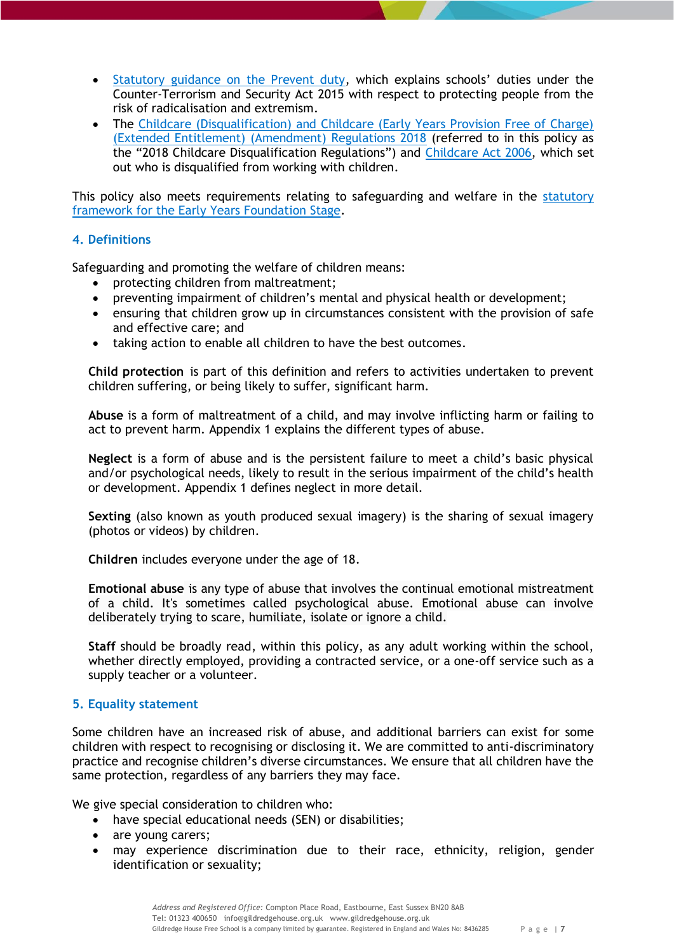- [Statutory guidance on the Prevent duty](https://www.gov.uk/government/publications/prevent-duty-guidance), which explains schools' duties under the Counter-Terrorism and Security Act 2015 with respect to protecting people from the risk of radicalisation and extremism.
- The Childcare (Disqualification) and Childcare (Early Years Provision Free of Charge) [\(Extended Entitlement\) \(Amendment\) Regulations 2018](http://www.legislation.gov.uk/uksi/2018/794/contents/made) (referred to in this policy as the "2018 Childcare Disqualification Regulations") and [Childcare Act 2006,](http://www.legislation.gov.uk/ukpga/2006/21/contents) which set out who is disqualified from working with children.

This policy also meets requirements relating to safeguarding and welfare in the [statutory](https://www.gov.uk/government/publications/early-years-foundation-stage-framework--2)  [framework for the Early Years Foundation Stage.](https://www.gov.uk/government/publications/early-years-foundation-stage-framework--2)

# <span id="page-6-0"></span>**4. Definitions**

Safeguarding and promoting the welfare of children means:

- protecting children from maltreatment;
- preventing impairment of children's mental and physical health or development;
- ensuring that children grow up in circumstances consistent with the provision of safe and effective care; and
- taking action to enable all children to have the best outcomes.

<span id="page-6-1"></span>**Child protection** is part of this definition and refers to activities undertaken to prevent children suffering, or being likely to suffer, significant harm.

<span id="page-6-2"></span>**Abuse** is a form of maltreatment of a child, and may involve inflicting harm or failing to act to prevent harm. Appendix 1 explains the different types of abuse.

<span id="page-6-3"></span>**Neglect** is a form of abuse and is the persistent failure to meet a child's basic physical and/or psychological needs, likely to result in the serious impairment of the child's health or development. Appendix 1 defines neglect in more detail.

<span id="page-6-4"></span>**Sexting** (also known as youth produced sexual imagery) is the sharing of sexual imagery (photos or videos) by children.

<span id="page-6-5"></span>**Children** includes everyone under the age of 18.

<span id="page-6-6"></span>**Emotional abuse** is any type of abuse that involves the continual emotional mistreatment of a child. It's sometimes called psychological abuse. Emotional abuse can involve deliberately trying to scare, humiliate, isolate or ignore a child.

<span id="page-6-7"></span>**Staff** should be broadly read, within this policy, as any adult working within the school, whether directly employed, providing a contracted service, or a one-off service such as a supply teacher or a volunteer.

# <span id="page-6-8"></span>**5. Equality statement**

Some children have an increased risk of abuse, and additional barriers can exist for some children with respect to recognising or disclosing it. We are committed to anti-discriminatory practice and recognise children's diverse circumstances. We ensure that all children have the same protection, regardless of any barriers they may face.

We give special consideration to children who:

- have special educational needs (SEN) or disabilities;
- are young carers;
- may experience discrimination due to their race, ethnicity, religion, gender identification or sexuality;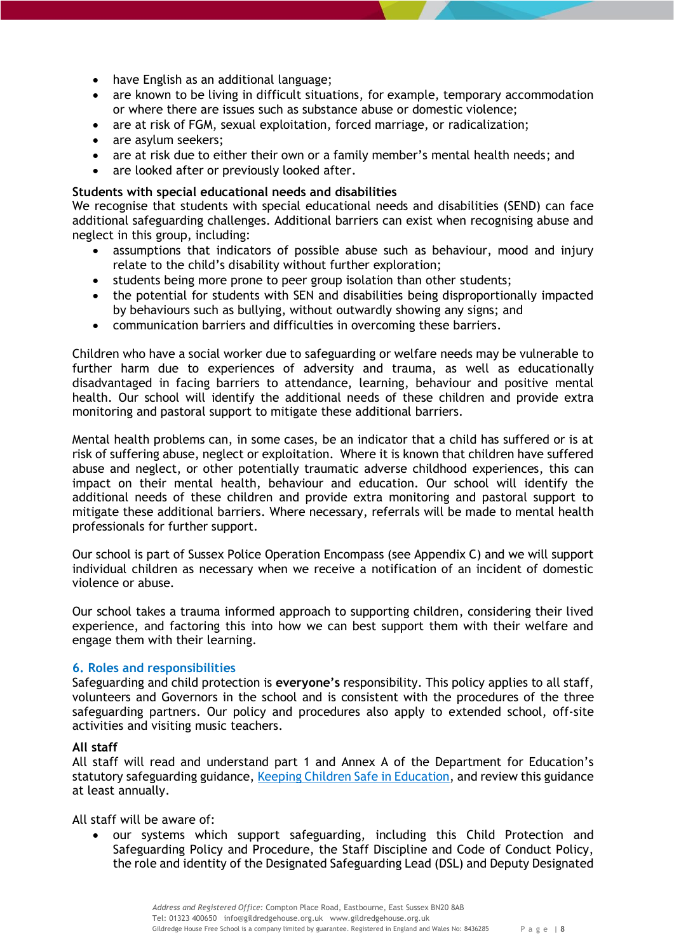- have English as an additional language;
- are known to be living in difficult situations, for example, temporary accommodation or where there are issues such as substance abuse or domestic violence;
- are at risk of FGM, sexual exploitation, forced marriage, or radicalization;
- are asylum seekers;
- are at risk due to either their own or a family member's mental health needs; and
- are looked after or previously looked after.

# <span id="page-7-0"></span>**Students with special educational needs and disabilities**

We recognise that students with special educational needs and disabilities (SEND) can face additional safeguarding challenges. Additional barriers can exist when recognising abuse and neglect in this group, including:

- assumptions that indicators of possible abuse such as behaviour, mood and injury relate to the child's disability without further exploration;
- students being more prone to peer group isolation than other students;
- the potential for students with SEN and disabilities being disproportionally impacted by behaviours such as bullying, without outwardly showing any signs; and
- communication barriers and difficulties in overcoming these barriers.

Children who have a social worker due to safeguarding or welfare needs may be vulnerable to further harm due to experiences of adversity and trauma, as well as educationally disadvantaged in facing barriers to attendance, learning, behaviour and positive mental health. Our school will identify the additional needs of these children and provide extra monitoring and pastoral support to mitigate these additional barriers.

Mental health problems can, in some cases, be an indicator that a child has suffered or is at risk of suffering abuse, neglect or exploitation. Where it is known that children have suffered abuse and neglect, or other potentially traumatic adverse childhood experiences, this can impact on their mental health, behaviour and education. Our school will identify the additional needs of these children and provide extra monitoring and pastoral support to mitigate these additional barriers. Where necessary, referrals will be made to mental health professionals for further support.

Our school is part of Sussex Police Operation Encompass (see Appendix C) and we will support individual children as necessary when we receive a notification of an incident of domestic violence or abuse.

Our school takes a trauma informed approach to supporting children, considering their lived experience, and factoring this into how we can best support them with their welfare and engage them with their learning.

# <span id="page-7-1"></span>**6. Roles and responsibilities**

Safeguarding and child protection is **everyone's** responsibility. This policy applies to all staff, volunteers and Governors in the school and is consistent with the procedures of the three safeguarding partners. Our policy and procedures also apply to extended school, off-site activities and visiting music teachers.

# <span id="page-7-2"></span>**All staff**

All staff will read and understand part 1 and Annex A of the Department for Education's statutory safeguarding guidance, [Keeping Children Safe in Education,](https://www.gov.uk/government/publications/keeping-children-safe-in-education--2) and review this guidance at least annually.

All staff will be aware of:

 our systems which support safeguarding, including this Child Protection and Safeguarding Policy and Procedure, the Staff Discipline and Code of Conduct Policy, the role and identity of the Designated Safeguarding Lead (DSL) and Deputy Designated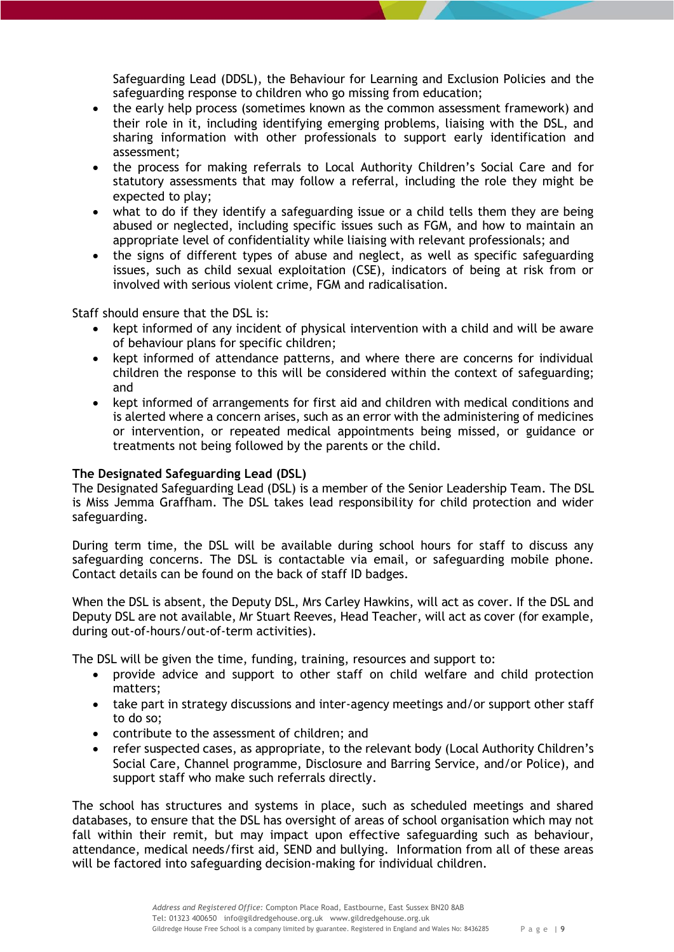Safeguarding Lead (DDSL), the Behaviour for Learning and Exclusion Policies and the safeguarding response to children who go missing from education;

- the early help process (sometimes known as the common assessment framework) and their role in it, including identifying emerging problems, liaising with the DSL, and sharing information with other professionals to support early identification and assessment;
- the process for making referrals to Local Authority Children's Social Care and for statutory assessments that may follow a referral, including the role they might be expected to play;
- what to do if they identify a safeguarding issue or a child tells them they are being abused or neglected, including specific issues such as FGM, and how to maintain an appropriate level of confidentiality while liaising with relevant professionals; and
- the signs of different types of abuse and neglect, as well as specific safeguarding issues, such as child sexual exploitation (CSE), indicators of being at risk from or involved with serious violent crime, FGM and radicalisation.

Staff should ensure that the DSL is:

- kept informed of any incident of physical intervention with a child and will be aware of behaviour plans for specific children;
- kept informed of attendance patterns, and where there are concerns for individual children the response to this will be considered within the context of safeguarding; and
- kept informed of arrangements for first aid and children with medical conditions and is alerted where a concern arises, such as an error with the administering of medicines or intervention, or repeated medical appointments being missed, or guidance or treatments not being followed by the parents or the child.

## <span id="page-8-0"></span>**The Designated Safeguarding Lead (DSL)**

The Designated Safeguarding Lead (DSL) is a member of the Senior Leadership Team. The DSL is Miss Jemma Graffham. The DSL takes lead responsibility for child protection and wider safeguarding.

During term time, the DSL will be available during school hours for staff to discuss any safeguarding concerns. The DSL is contactable via email, or safeguarding mobile phone. Contact details can be found on the back of staff ID badges.

When the DSL is absent, the Deputy DSL, Mrs Carley Hawkins, will act as cover. If the DSL and Deputy DSL are not available, Mr Stuart Reeves, Head Teacher, will act as cover (for example, during out-of-hours/out-of-term activities).

The DSL will be given the time, funding, training, resources and support to:

- provide advice and support to other staff on child welfare and child protection matters;
- take part in strategy discussions and inter-agency meetings and/or support other staff to do so;
- contribute to the assessment of children; and
- refer suspected cases, as appropriate, to the relevant body (Local Authority Children's Social Care, Channel programme, Disclosure and Barring Service, and/or Police), and support staff who make such referrals directly.

The school has structures and systems in place, such as scheduled meetings and shared databases, to ensure that the DSL has oversight of areas of school organisation which may not fall within their remit, but may impact upon effective safeguarding such as behaviour, attendance, medical needs/first aid, SEND and bullying. Information from all of these areas will be factored into safeguarding decision-making for individual children.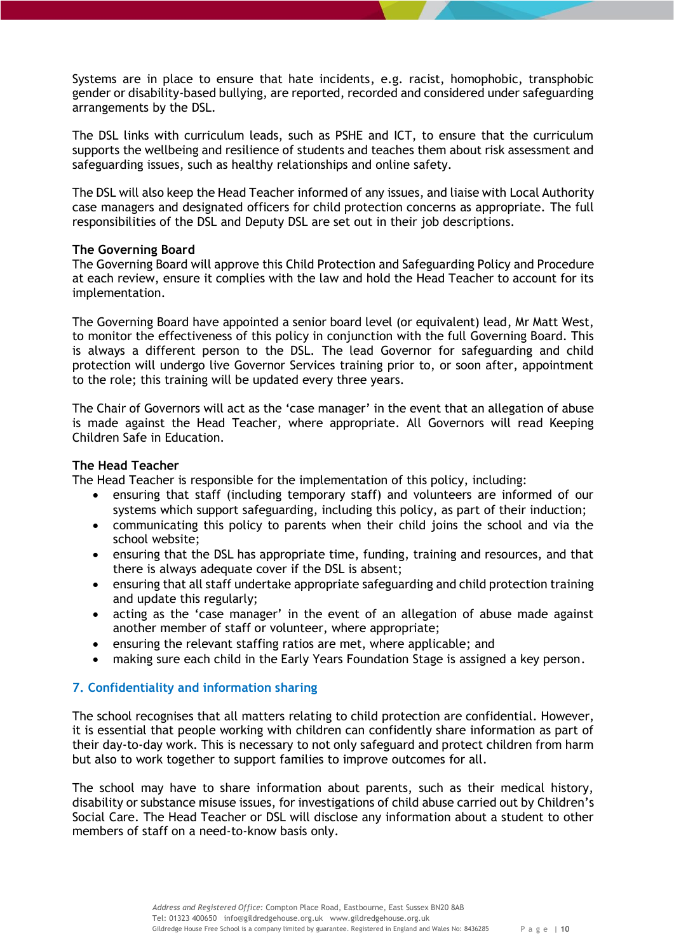Systems are in place to ensure that hate incidents, e.g. racist, homophobic, transphobic gender or disability-based bullying, are reported, recorded and considered under safeguarding arrangements by the DSL.

The DSL links with curriculum leads, such as PSHE and ICT, to ensure that the curriculum supports the wellbeing and resilience of students and teaches them about risk assessment and safeguarding issues, such as healthy relationships and online safety.

The DSL will also keep the Head Teacher informed of any issues, and liaise with Local Authority case managers and designated officers for child protection concerns as appropriate. The full responsibilities of the DSL and Deputy DSL are set out in their job descriptions.

## <span id="page-9-0"></span>**The Governing Board**

The Governing Board will approve this Child Protection and Safeguarding Policy and Procedure at each review, ensure it complies with the law and hold the Head Teacher to account for its implementation.

The Governing Board have appointed a senior board level (or equivalent) lead, Mr Matt West, to monitor the effectiveness of this policy in conjunction with the full Governing Board. This is always a different person to the DSL. The lead Governor for safeguarding and child protection will undergo live Governor Services training prior to, or soon after, appointment to the role; this training will be updated every three years.

The Chair of Governors will act as the 'case manager' in the event that an allegation of abuse is made against the Head Teacher, where appropriate. All Governors will read Keeping Children Safe in Education.

# <span id="page-9-1"></span>**The Head Teacher**

The Head Teacher is responsible for the implementation of this policy, including:

- ensuring that staff (including temporary staff) and volunteers are informed of our systems which support safeguarding, including this policy, as part of their induction;
- communicating this policy to parents when their child joins the school and via the school website;
- ensuring that the DSL has appropriate time, funding, training and resources, and that there is always adequate cover if the DSL is absent;
- ensuring that all staff undertake appropriate safeguarding and child protection training and update this regularly;
- acting as the 'case manager' in the event of an allegation of abuse made against another member of staff or volunteer, where appropriate;
- ensuring the relevant staffing ratios are met, where applicable; and
- making sure each child in the Early Years Foundation Stage is assigned a key person.

# <span id="page-9-2"></span>**7. Confidentiality and information sharing**

The school recognises that all matters relating to child protection are confidential. However, it is essential that people working with children can confidently share information as part of their day-to-day work. This is necessary to not only safeguard and protect children from harm but also to work together to support families to improve outcomes for all.

The school may have to share information about parents, such as their medical history, disability or substance misuse issues, for investigations of child abuse carried out by Children's Social Care. The Head Teacher or DSL will disclose any information about a student to other members of staff on a need-to-know basis only.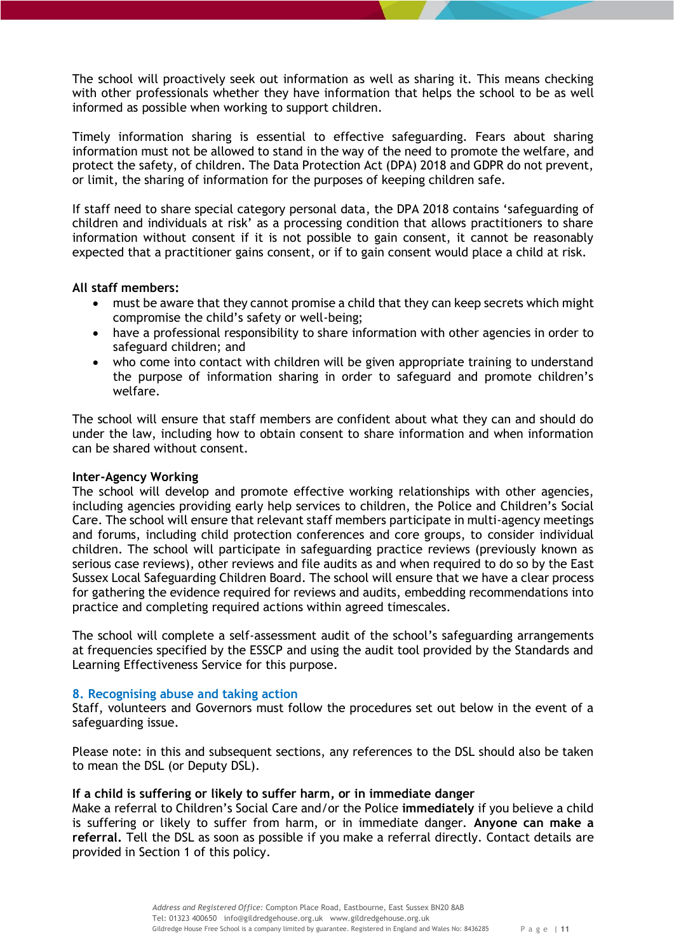The school will proactively seek out information as well as sharing it. This means checking with other professionals whether they have information that helps the school to be as well informed as possible when working to support children.

Timely information sharing is essential to effective safeguarding. Fears about sharing information must not be allowed to stand in the way of the need to promote the welfare, and protect the safety, of children. The Data Protection Act (DPA) 2018 and GDPR do not prevent, or limit, the sharing of information for the purposes of keeping children safe.

If staff need to share special category personal data, the DPA 2018 contains 'safeguarding of children and individuals at risk' as a processing condition that allows practitioners to share information without consent if it is not possible to gain consent, it cannot be reasonably expected that a practitioner gains consent, or if to gain consent would place a child at risk.

## <span id="page-10-0"></span>**All staff members:**

- must be aware that they cannot promise a child that they can keep secrets which might compromise the child's safety or well-being;
- have a professional responsibility to share information with other agencies in order to safeguard children; and
- who come into contact with children will be given appropriate training to understand the purpose of information sharing in order to safeguard and promote children's welfare.

The school will ensure that staff members are confident about what they can and should do under the law, including how to obtain consent to share information and when information can be shared without consent.

## <span id="page-10-1"></span>**Inter-Agency Working**

The school will develop and promote effective working relationships with other agencies, including agencies providing early help services to children, the Police and Children's Social Care. The school will ensure that relevant staff members participate in multi-agency meetings and forums, including child protection conferences and core groups, to consider individual children. The school will participate in safeguarding practice reviews (previously known as serious case reviews), other reviews and file audits as and when required to do so by the East Sussex Local Safeguarding Children Board. The school will ensure that we have a clear process for gathering the evidence required for reviews and audits, embedding recommendations into practice and completing required actions within agreed timescales.

The school will complete a self-assessment audit of the school's safeguarding arrangements at frequencies specified by the ESSCP and using the audit tool provided by the Standards and Learning Effectiveness Service for this purpose.

# <span id="page-10-2"></span>**8. Recognising abuse and taking action**

Staff, volunteers and Governors must follow the procedures set out below in the event of a safeguarding issue.

Please note: in this and subsequent sections, any references to the DSL should also be taken to mean the DSL (or Deputy DSL).

## <span id="page-10-3"></span>**If a child is suffering or likely to suffer harm, or in immediate danger**

Make a referral to Children's Social Care and/or the Police **immediately** if you believe a child is suffering or likely to suffer from harm, or in immediate danger. **Anyone can make a referral.** Tell the DSL as soon as possible if you make a referral directly. Contact details are provided in Section 1 of this policy.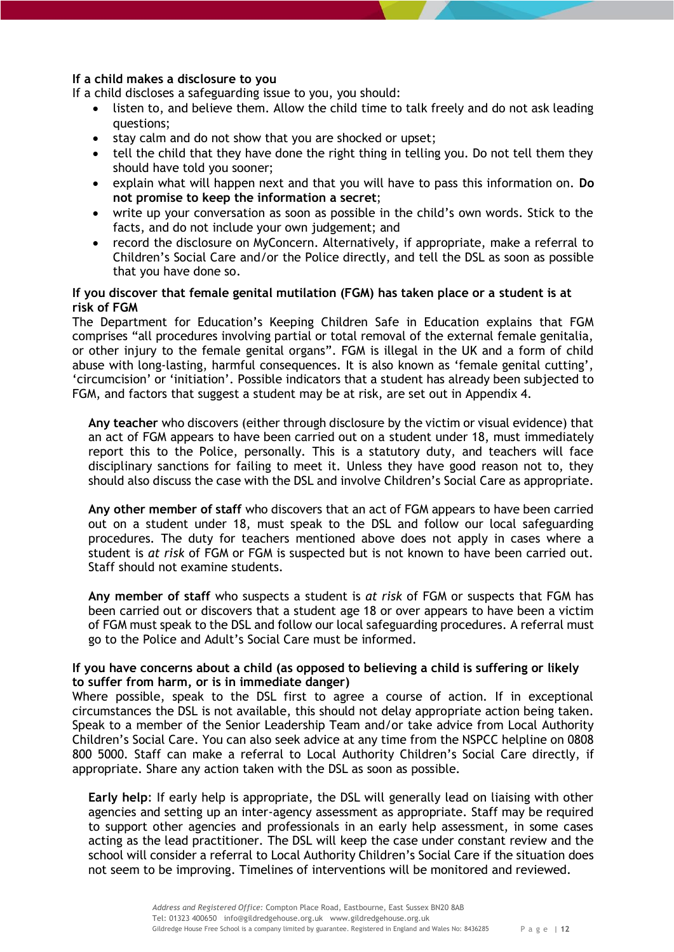## <span id="page-11-0"></span>**If a child makes a disclosure to you**

If a child discloses a safeguarding issue to you, you should:

- listen to, and believe them. Allow the child time to talk freely and do not ask leading questions;
- stay calm and do not show that you are shocked or upset;
- tell the child that they have done the right thing in telling you. Do not tell them they should have told you sooner;
- explain what will happen next and that you will have to pass this information on. **Do not promise to keep the information a secret**;
- write up your conversation as soon as possible in the child's own words. Stick to the facts, and do not include your own judgement; and
- record the disclosure on MyConcern. Alternatively, if appropriate, make a referral to Children's Social Care and/or the Police directly, and tell the DSL as soon as possible that you have done so.

## <span id="page-11-1"></span>**If you discover that female genital mutilation (FGM) has taken place or a student is at risk of FGM**

The Department for Education's Keeping Children Safe in Education explains that FGM comprises "all procedures involving partial or total removal of the external female genitalia, or other injury to the female genital organs". FGM is illegal in the UK and a form of child abuse with long-lasting, harmful consequences. It is also known as 'female genital cutting', 'circumcision' or 'initiation'. Possible indicators that a student has already been subjected to FGM, and factors that suggest a student may be at risk, are set out in Appendix 4.

**Any teacher** who discovers (either through disclosure by the victim or visual evidence) that an act of FGM appears to have been carried out on a student under 18, must immediately report this to the Police, personally. This is a statutory duty, and teachers will face disciplinary sanctions for failing to meet it. Unless they have good reason not to, they should also discuss the case with the DSL and involve Children's Social Care as appropriate.

**Any other member of staff** who discovers that an act of FGM appears to have been carried out on a student under 18, must speak to the DSL and follow our local safeguarding procedures. The duty for teachers mentioned above does not apply in cases where a student is *at risk* of FGM or FGM is suspected but is not known to have been carried out. Staff should not examine students.

**Any member of staff** who suspects a student is *at risk* of FGM or suspects that FGM has been carried out or discovers that a student age 18 or over appears to have been a victim of FGM must speak to the DSL and follow our local safeguarding procedures. A referral must go to the Police and Adult's Social Care must be informed.

# **If you have concerns about a child (as opposed to believing a child is suffering or likely to suffer from harm, or is in immediate danger)**

Where possible, speak to the DSL first to agree a course of action. If in exceptional circumstances the DSL is not available, this should not delay appropriate action being taken. Speak to a member of the Senior Leadership Team and/or take advice from Local Authority Children's Social Care. You can also seek advice at any time from the NSPCC helpline on 0808 800 5000. Staff can make a referral to Local Authority Children's Social Care directly, if appropriate. Share any action taken with the DSL as soon as possible.

**Early help**: If early help is appropriate, the DSL will generally lead on liaising with other agencies and setting up an inter-agency assessment as appropriate. Staff may be required to support other agencies and professionals in an early help assessment, in some cases acting as the lead practitioner. The DSL will keep the case under constant review and the school will consider a referral to Local Authority Children's Social Care if the situation does not seem to be improving. Timelines of interventions will be monitored and reviewed.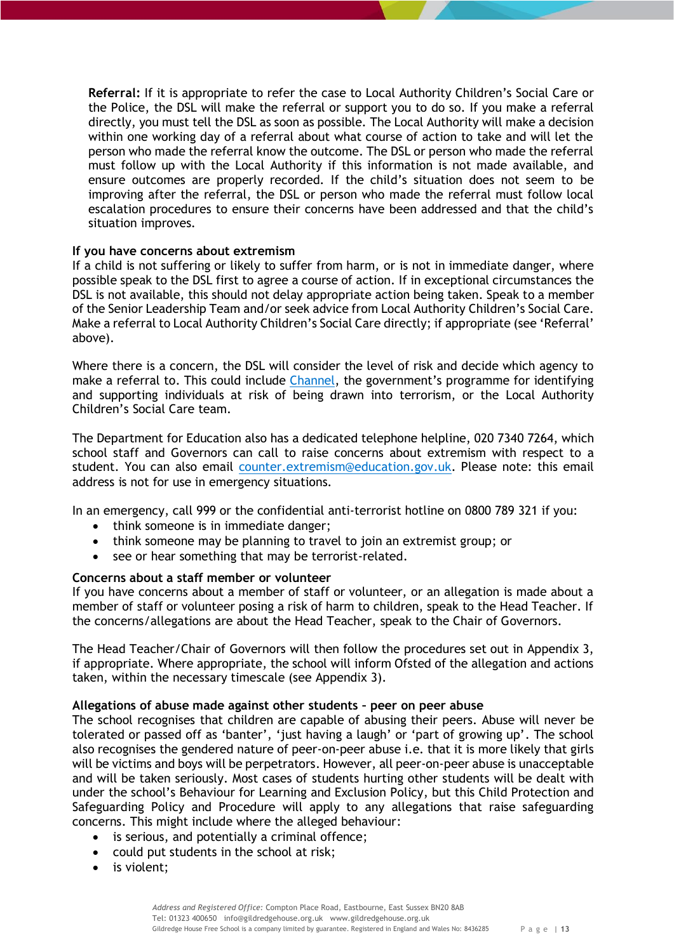**Referral:** If it is appropriate to refer the case to Local Authority Children's Social Care or the Police, the DSL will make the referral or support you to do so. If you make a referral directly, you must tell the DSL as soon as possible. The Local Authority will make a decision within one working day of a referral about what course of action to take and will let the person who made the referral know the outcome. The DSL or person who made the referral must follow up with the Local Authority if this information is not made available, and ensure outcomes are properly recorded. If the child's situation does not seem to be improving after the referral, the DSL or person who made the referral must follow local escalation procedures to ensure their concerns have been addressed and that the child's situation improves.

## <span id="page-12-0"></span>**If you have concerns about extremism**

If a child is not suffering or likely to suffer from harm, or is not in immediate danger, where possible speak to the DSL first to agree a course of action. If in exceptional circumstances the DSL is not available, this should not delay appropriate action being taken. Speak to a member of the Senior Leadership Team and/or seek advice from Local Authority Children's Social Care. Make a referral to Local Authority Children's Social Care directly; if appropriate (see 'Referral' above).

Where there is a concern, the DSL will consider the level of risk and decide which agency to make a referral to. This could include [Channel](https://www.gov.uk/government/publications/channel-guidance), the government's programme for identifying and supporting individuals at risk of being drawn into terrorism, or the Local Authority Children's Social Care team.

The Department for Education also has a dedicated telephone helpline, 020 7340 7264, which school staff and Governors can call to raise concerns about extremism with respect to a student. You can also email [counter.extremism@education.gov.uk.](mailto:counter.extremism@education.gov.uk) Please note: this email address is not for use in emergency situations.

In an emergency, call 999 or the confidential anti-terrorist hotline on 0800 789 321 if you:

- think someone is in immediate danger;
- think someone may be planning to travel to join an extremist group; or
- see or hear something that may be terrorist-related.

## <span id="page-12-1"></span>**Concerns about a staff member or volunteer**

If you have concerns about a member of staff or volunteer, or an allegation is made about a member of staff or volunteer posing a risk of harm to children, speak to the Head Teacher. If the concerns/allegations are about the Head Teacher, speak to the Chair of Governors.

The Head Teacher/Chair of Governors will then follow the procedures set out in Appendix 3, if appropriate. Where appropriate, the school will inform Ofsted of the allegation and actions taken, within the necessary timescale (see Appendix 3).

## <span id="page-12-2"></span>**Allegations of abuse made against other students – peer on peer abuse**

The school recognises that children are capable of abusing their peers. Abuse will never be tolerated or passed off as 'banter', 'just having a laugh' or 'part of growing up'. The school also recognises the gendered nature of peer-on-peer abuse i.e. that it is more likely that girls will be victims and boys will be perpetrators. However, all peer-on-peer abuse is unacceptable and will be taken seriously. Most cases of students hurting other students will be dealt with under the school's Behaviour for Learning and Exclusion Policy, but this Child Protection and Safeguarding Policy and Procedure will apply to any allegations that raise safeguarding concerns. This might include where the alleged behaviour:

- is serious, and potentially a criminal offence;
- could put students in the school at risk;
- is violent: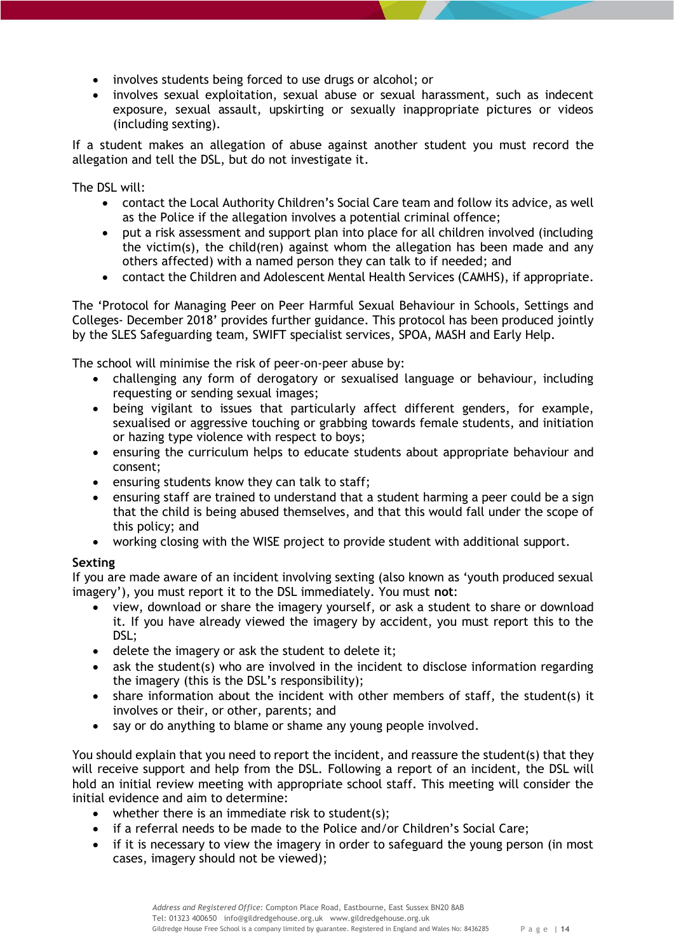- involves students being forced to use drugs or alcohol; or
- involves sexual exploitation, sexual abuse or sexual harassment, such as indecent exposure, sexual assault, upskirting or sexually inappropriate pictures or videos (including sexting).

If a student makes an allegation of abuse against another student you must record the allegation and tell the DSL, but do not investigate it.

The DSL will:

- contact the Local Authority Children's Social Care team and follow its advice, as well as the Police if the allegation involves a potential criminal offence;
- put a risk assessment and support plan into place for all children involved (including the victim(s), the child(ren) against whom the allegation has been made and any others affected) with a named person they can talk to if needed; and
- contact the Children and Adolescent Mental Health Services (CAMHS), if appropriate.

The 'Protocol for Managing Peer on Peer Harmful Sexual Behaviour in Schools, Settings and Colleges- December 2018' provides further guidance. This protocol has been produced jointly by the SLES Safeguarding team, SWIFT specialist services, SPOA, MASH and Early Help.

The school will minimise the risk of peer-on-peer abuse by:

- challenging any form of derogatory or sexualised language or behaviour, including requesting or sending sexual images;
- being vigilant to issues that particularly affect different genders, for example, sexualised or aggressive touching or grabbing towards female students, and initiation or hazing type violence with respect to boys;
- ensuring the curriculum helps to educate students about appropriate behaviour and consent;
- ensuring students know they can talk to staff;
- ensuring staff are trained to understand that a student harming a peer could be a sign that the child is being abused themselves, and that this would fall under the scope of this policy; and
- working closing with the WISE project to provide student with additional support.

# <span id="page-13-0"></span>**Sexting**

If you are made aware of an incident involving sexting (also known as 'youth produced sexual imagery'), you must report it to the DSL immediately. You must **not**:

- view, download or share the imagery yourself, or ask a student to share or download it. If you have already viewed the imagery by accident, you must report this to the DSL;
- delete the imagery or ask the student to delete it;
- ask the student(s) who are involved in the incident to disclose information regarding the imagery (this is the DSL's responsibility);
- share information about the incident with other members of staff, the student(s) it involves or their, or other, parents; and
- say or do anything to blame or shame any young people involved.

You should explain that you need to report the incident, and reassure the student(s) that they will receive support and help from the DSL. Following a report of an incident, the DSL will hold an initial review meeting with appropriate school staff. This meeting will consider the initial evidence and aim to determine:

- whether there is an immediate risk to student(s);
- if a referral needs to be made to the Police and/or Children's Social Care;
- if it is necessary to view the imagery in order to safeguard the young person (in most cases, imagery should not be viewed);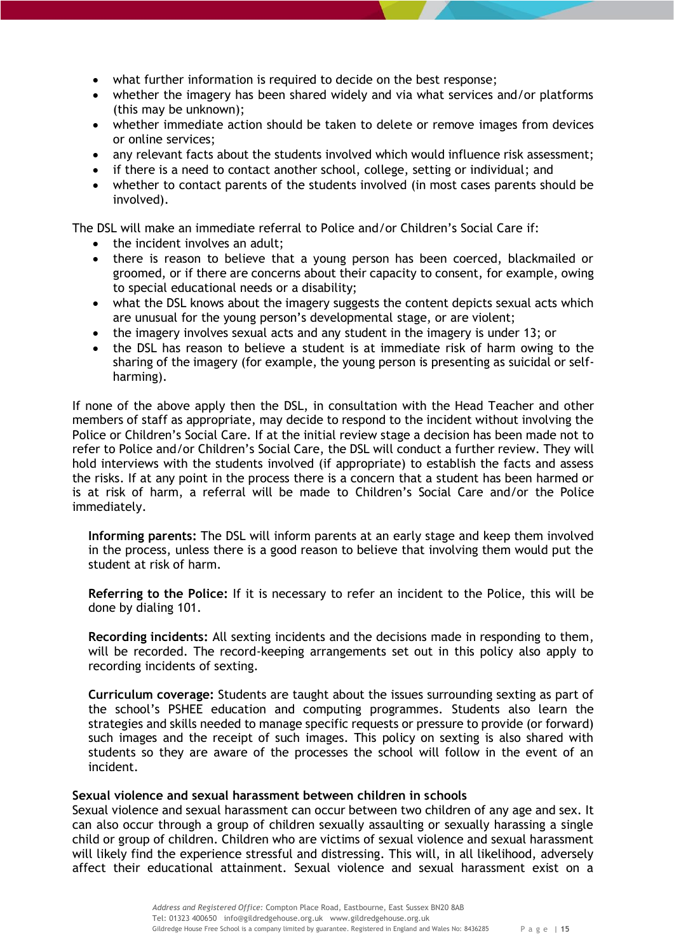- what further information is required to decide on the best response;
- whether the imagery has been shared widely and via what services and/or platforms (this may be unknown);
- whether immediate action should be taken to delete or remove images from devices or online services;
- any relevant facts about the students involved which would influence risk assessment;
- if there is a need to contact another school, college, setting or individual; and
- whether to contact parents of the students involved (in most cases parents should be involved).

The DSL will make an immediate referral to Police and/or Children's Social Care if:

- the incident involves an adult;
- there is reason to believe that a young person has been coerced, blackmailed or groomed, or if there are concerns about their capacity to consent, for example, owing to special educational needs or a disability;
- what the DSL knows about the imagery suggests the content depicts sexual acts which are unusual for the young person's developmental stage, or are violent;
- the imagery involves sexual acts and any student in the imagery is under 13; or
- the DSL has reason to believe a student is at immediate risk of harm owing to the sharing of the imagery (for example, the young person is presenting as suicidal or selfharming).

If none of the above apply then the DSL, in consultation with the Head Teacher and other members of staff as appropriate, may decide to respond to the incident without involving the Police or Children's Social Care. If at the initial review stage a decision has been made not to refer to Police and/or Children's Social Care, the DSL will conduct a further review. They will hold interviews with the students involved (if appropriate) to establish the facts and assess the risks. If at any point in the process there is a concern that a student has been harmed or is at risk of harm, a referral will be made to Children's Social Care and/or the Police immediately.

**Informing parents:** The DSL will inform parents at an early stage and keep them involved in the process, unless there is a good reason to believe that involving them would put the student at risk of harm.

**Referring to the Police:** If it is necessary to refer an incident to the Police, this will be done by dialing 101.

**Recording incidents:** All sexting incidents and the decisions made in responding to them, will be recorded. The record-keeping arrangements set out in this policy also apply to recording incidents of sexting.

**Curriculum coverage:** Students are taught about the issues surrounding sexting as part of the school's PSHEE education and computing programmes. Students also learn the strategies and skills needed to manage specific requests or pressure to provide (or forward) such images and the receipt of such images. This policy on sexting is also shared with students so they are aware of the processes the school will follow in the event of an incident.

# <span id="page-14-0"></span>**Sexual violence and sexual harassment between children in schools**

Sexual violence and sexual harassment can occur between two children of any age and sex. It can also occur through a group of children sexually assaulting or sexually harassing a single child or group of children. Children who are victims of sexual violence and sexual harassment will likely find the experience stressful and distressing. This will, in all likelihood, adversely affect their educational attainment. Sexual violence and sexual harassment exist on a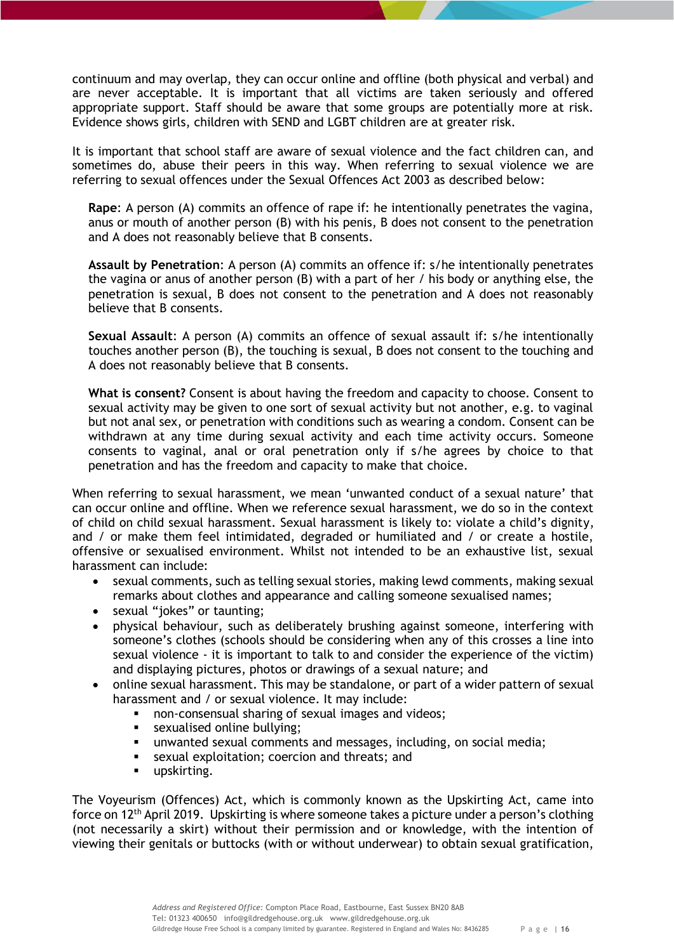continuum and may overlap, they can occur online and offline (both physical and verbal) and are never acceptable. It is important that all victims are taken seriously and offered appropriate support. Staff should be aware that some groups are potentially more at risk. Evidence shows girls, children with SEND and LGBT children are at greater risk.

It is important that school staff are aware of sexual violence and the fact children can, and sometimes do, abuse their peers in this way. When referring to sexual violence we are referring to sexual offences under the Sexual Offences Act 2003 as described below:

**Rape**: A person (A) commits an offence of rape if: he intentionally penetrates the vagina, anus or mouth of another person (B) with his penis, B does not consent to the penetration and A does not reasonably believe that B consents.

**Assault by Penetration**: A person (A) commits an offence if: s/he intentionally penetrates the vagina or anus of another person (B) with a part of her / his body or anything else, the penetration is sexual, B does not consent to the penetration and A does not reasonably believe that B consents.

**Sexual Assault**: A person (A) commits an offence of sexual assault if: s/he intentionally touches another person (B), the touching is sexual, B does not consent to the touching and A does not reasonably believe that B consents.

**What is consent?** Consent is about having the freedom and capacity to choose. Consent to sexual activity may be given to one sort of sexual activity but not another, e.g. to vaginal but not anal sex, or penetration with conditions such as wearing a condom. Consent can be withdrawn at any time during sexual activity and each time activity occurs. Someone consents to vaginal, anal or oral penetration only if s/he agrees by choice to that penetration and has the freedom and capacity to make that choice.

When referring to sexual harassment, we mean 'unwanted conduct of a sexual nature' that can occur online and offline. When we reference sexual harassment, we do so in the context of child on child sexual harassment. Sexual harassment is likely to: violate a child's dignity, and / or make them feel intimidated, degraded or humiliated and / or create a hostile, offensive or sexualised environment. Whilst not intended to be an exhaustive list, sexual harassment can include:

- sexual comments, such as telling sexual stories, making lewd comments, making sexual remarks about clothes and appearance and calling someone sexualised names;
- sexual "jokes" or taunting;
- physical behaviour, such as deliberately brushing against someone, interfering with someone's clothes (schools should be considering when any of this crosses a line into sexual violence - it is important to talk to and consider the experience of the victim) and displaying pictures, photos or drawings of a sexual nature; and
- online sexual harassment. This may be standalone, or part of a wider pattern of sexual harassment and / or sexual violence. It may include:
	- non-consensual sharing of sexual images and videos;
	- **sexualised online bullying;**
	- unwanted sexual comments and messages, including, on social media;
	- sexual exploitation; coercion and threats; and
	- **upskirting.**

The Voyeurism (Offences) Act, which is commonly known as the Upskirting Act, came into force on  $12<sup>th</sup>$  April 2019. Upskirting is where someone takes a picture under a person's clothing (not necessarily a skirt) without their permission and or knowledge, with the intention of viewing their genitals or buttocks (with or without underwear) to obtain sexual gratification,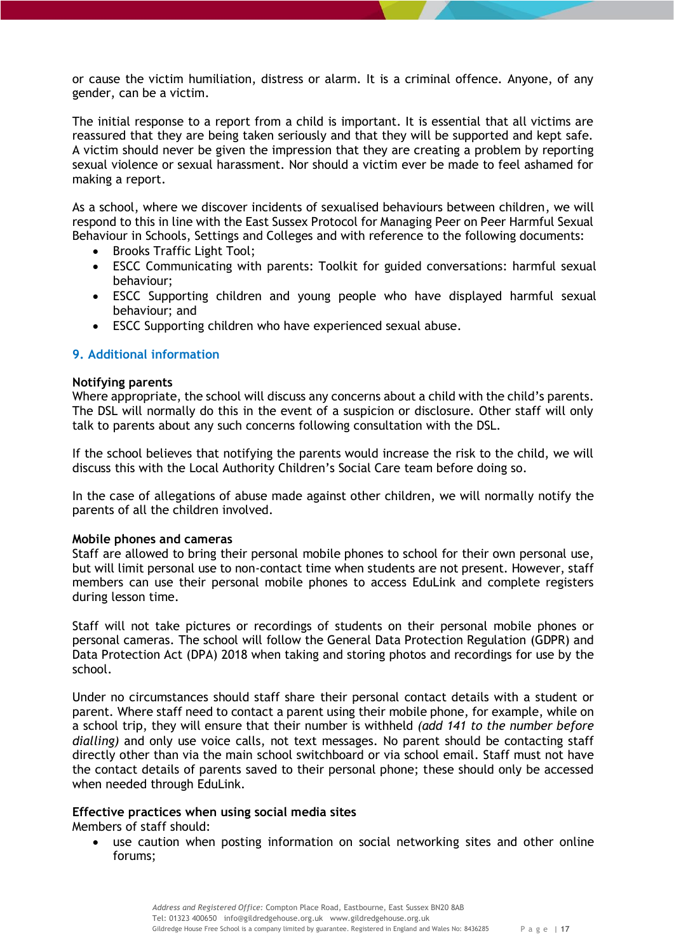or cause the victim humiliation, distress or alarm. It is a criminal offence. Anyone, of any gender, can be a victim.

The initial response to a report from a child is important. It is essential that all victims are reassured that they are being taken seriously and that they will be supported and kept safe. A victim should never be given the impression that they are creating a problem by reporting sexual violence or sexual harassment. Nor should a victim ever be made to feel ashamed for making a report.

As a school, where we discover incidents of sexualised behaviours between children, we will respond to this in line with the East Sussex Protocol for Managing Peer on Peer Harmful Sexual Behaviour in Schools, Settings and Colleges and with reference to the following documents:

- Brooks Traffic Light Tool;
- ESCC Communicating with parents: Toolkit for guided conversations: harmful sexual behaviour;
- ESCC Supporting children and young people who have displayed harmful sexual behaviour; and
- ESCC Supporting children who have experienced sexual abuse.

## <span id="page-16-0"></span>**9. Additional information**

#### <span id="page-16-1"></span>**Notifying parents**

Where appropriate, the school will discuss any concerns about a child with the child's parents. The DSL will normally do this in the event of a suspicion or disclosure. Other staff will only talk to parents about any such concerns following consultation with the DSL.

If the school believes that notifying the parents would increase the risk to the child, we will discuss this with the Local Authority Children's Social Care team before doing so.

In the case of allegations of abuse made against other children, we will normally notify the parents of all the children involved.

## <span id="page-16-2"></span>**Mobile phones and cameras**

Staff are allowed to bring their personal mobile phones to school for their own personal use, but will limit personal use to non-contact time when students are not present. However, staff members can use their personal mobile phones to access EduLink and complete registers during lesson time.

Staff will not take pictures or recordings of students on their personal mobile phones or personal cameras. The school will follow the General Data Protection Regulation (GDPR) and Data Protection Act (DPA) 2018 when taking and storing photos and recordings for use by the school.

Under no circumstances should staff share their personal contact details with a student or parent. Where staff need to contact a parent using their mobile phone, for example, while on a school trip, they will ensure that their number is withheld *(add 141 to the number before dialling)* and only use voice calls, not text messages. No parent should be contacting staff directly other than via the main school switchboard or via school email. Staff must not have the contact details of parents saved to their personal phone; these should only be accessed when needed through EduLink.

## <span id="page-16-3"></span>**Effective practices when using social media sites**

Members of staff should:

 use caution when posting information on social networking sites and other online forums;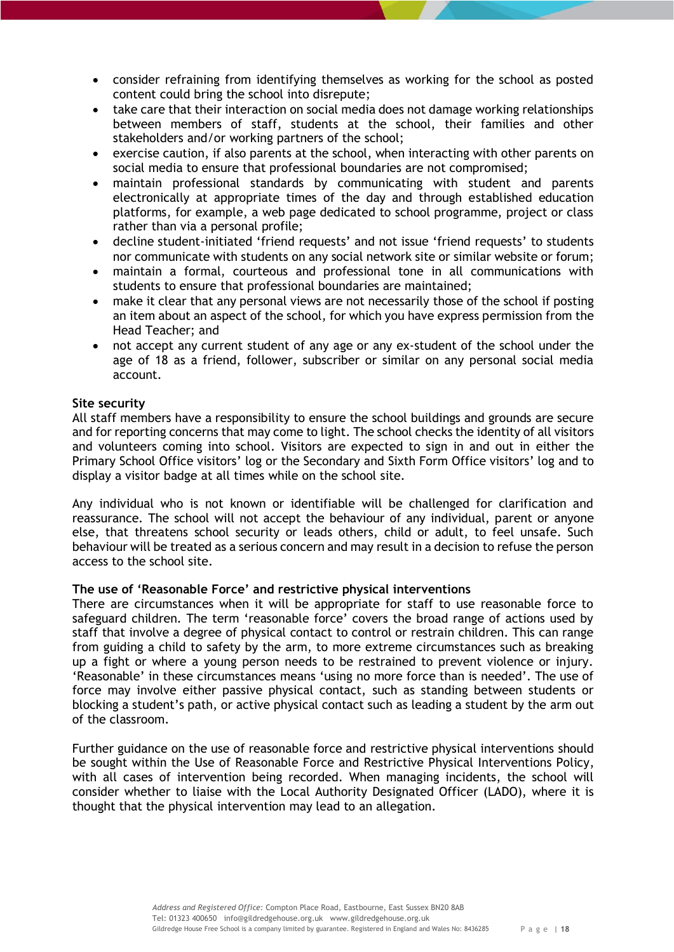- consider refraining from identifying themselves as working for the school as posted content could bring the school into disrepute;
- take care that their interaction on social media does not damage working relationships between members of staff, students at the school, their families and other stakeholders and/or working partners of the school;
- exercise caution, if also parents at the school, when interacting with other parents on social media to ensure that professional boundaries are not compromised;
- maintain professional standards by communicating with student and parents electronically at appropriate times of the day and through established education platforms, for example, a web page dedicated to school programme, project or class rather than via a personal profile;
- decline student-initiated 'friend requests' and not issue 'friend requests' to students nor communicate with students on any social network site or similar website or forum;
- maintain a formal, courteous and professional tone in all communications with students to ensure that professional boundaries are maintained;
- make it clear that any personal views are not necessarily those of the school if posting an item about an aspect of the school, for which you have express permission from the Head Teacher; and
- not accept any current student of any age or any ex-student of the school under the age of 18 as a friend, follower, subscriber or similar on any personal social media account.

## <span id="page-17-0"></span>**Site security**

All staff members have a responsibility to ensure the school buildings and grounds are secure and for reporting concerns that may come to light. The school checks the identity of all visitors and volunteers coming into school. Visitors are expected to sign in and out in either the Primary School Office visitors' log or the Secondary and Sixth Form Office visitors' log and to display a visitor badge at all times while on the school site.

Any individual who is not known or identifiable will be challenged for clarification and reassurance. The school will not accept the behaviour of any individual, parent or anyone else, that threatens school security or leads others, child or adult, to feel unsafe. Such behaviour will be treated as a serious concern and may result in a decision to refuse the person access to the school site.

## <span id="page-17-1"></span>**The use of 'Reasonable Force' and restrictive physical interventions**

There are circumstances when it will be appropriate for staff to use reasonable force to safeguard children. The term 'reasonable force' covers the broad range of actions used by staff that involve a degree of physical contact to control or restrain children. This can range from guiding a child to safety by the arm, to more extreme circumstances such as breaking up a fight or where a young person needs to be restrained to prevent violence or injury. 'Reasonable' in these circumstances means 'using no more force than is needed'. The use of force may involve either passive physical contact, such as standing between students or blocking a student's path, or active physical contact such as leading a student by the arm out of the classroom.

Further guidance on the use of reasonable force and restrictive physical interventions should be sought within the Use of Reasonable Force and Restrictive Physical Interventions Policy, with all cases of intervention being recorded. When managing incidents, the school will consider whether to liaise with the Local Authority Designated Officer (LADO), where it is thought that the physical intervention may lead to an allegation.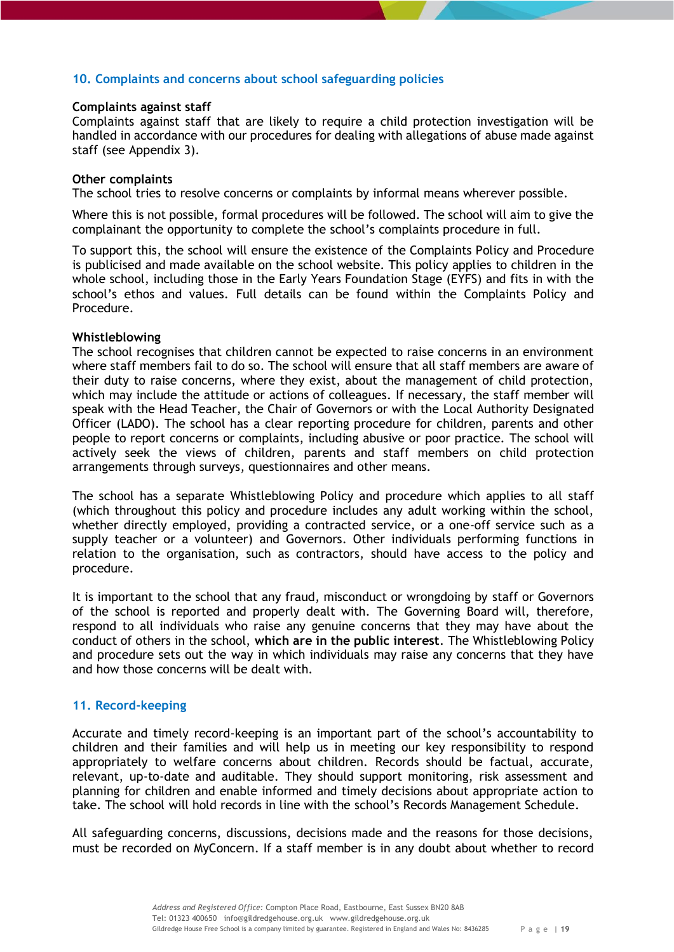# <span id="page-18-0"></span>**10. Complaints and concerns about school safeguarding policies**

## <span id="page-18-1"></span>**Complaints against staff**

Complaints against staff that are likely to require a child protection investigation will be handled in accordance with our procedures for dealing with allegations of abuse made against staff (see Appendix 3).

#### <span id="page-18-2"></span>**Other complaints**

The school tries to resolve concerns or complaints by informal means wherever possible.

Where this is not possible, formal procedures will be followed. The school will aim to give the complainant the opportunity to complete the school's complaints procedure in full.

To support this, the school will ensure the existence of the Complaints Policy and Procedure is publicised and made available on the school website. This policy applies to children in the whole school, including those in the Early Years Foundation Stage (EYFS) and fits in with the school's ethos and values. Full details can be found within the Complaints Policy and Procedure.

## <span id="page-18-3"></span>**Whistleblowing**

The school recognises that children cannot be expected to raise concerns in an environment where staff members fail to do so. The school will ensure that all staff members are aware of their duty to raise concerns, where they exist, about the management of child protection, which may include the attitude or actions of colleagues. If necessary, the staff member will speak with the Head Teacher, the Chair of Governors or with the Local Authority Designated Officer (LADO). The school has a clear reporting procedure for children, parents and other people to report concerns or complaints, including abusive or poor practice. The school will actively seek the views of children, parents and staff members on child protection arrangements through surveys, questionnaires and other means.

The school has a separate Whistleblowing Policy and procedure which applies to all staff (which throughout this policy and procedure includes any adult working within the school, whether directly employed, providing a contracted service, or a one-off service such as a supply teacher or a volunteer) and Governors. Other individuals performing functions in relation to the organisation, such as contractors, should have access to the policy and procedure.

It is important to the school that any fraud, misconduct or wrongdoing by staff or Governors of the school is reported and properly dealt with. The Governing Board will, therefore, respond to all individuals who raise any genuine concerns that they may have about the conduct of others in the school, **which are in the public interest**. The Whistleblowing Policy and procedure sets out the way in which individuals may raise any concerns that they have and how those concerns will be dealt with.

## <span id="page-18-4"></span>**11. Record-keeping**

Accurate and timely record-keeping is an important part of the school's accountability to children and their families and will help us in meeting our key responsibility to respond appropriately to welfare concerns about children. Records should be factual, accurate, relevant, up-to-date and auditable. They should support monitoring, risk assessment and planning for children and enable informed and timely decisions about appropriate action to take. The school will hold records in line with the school's Records Management Schedule.

All safeguarding concerns, discussions, decisions made and the reasons for those decisions, must be recorded on MyConcern. If a staff member is in any doubt about whether to record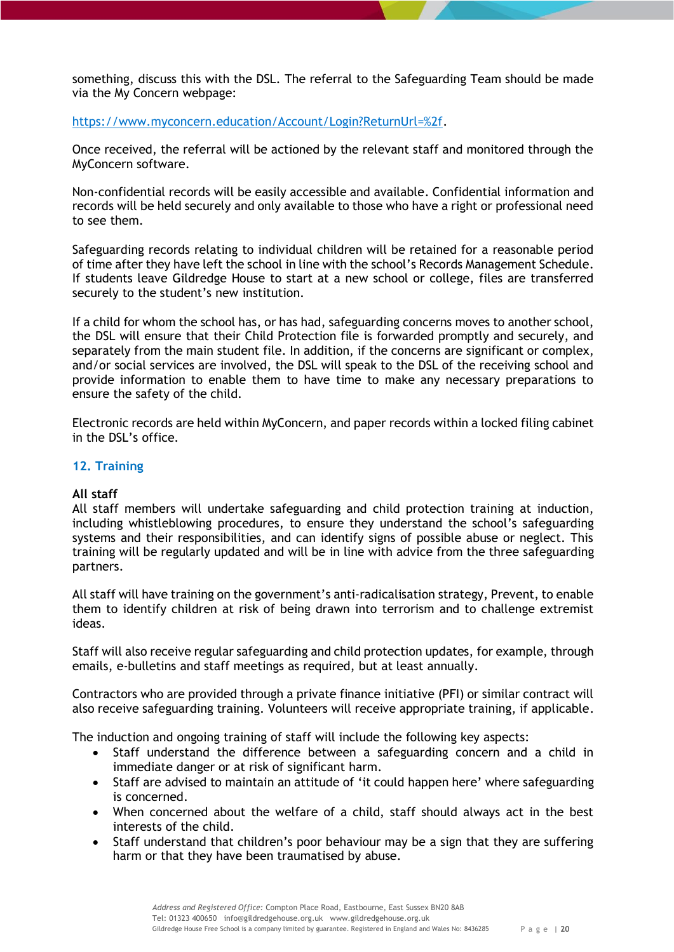something, discuss this with the DSL. The referral to the Safeguarding Team should be made via the My Concern webpage:

[https://www.myconcern.education/Account/Login?ReturnUrl=%2f.](https://www.myconcern.education/Account/Login?ReturnUrl=%2f)

Once received, the referral will be actioned by the relevant staff and monitored through the MyConcern software.

Non-confidential records will be easily accessible and available. Confidential information and records will be held securely and only available to those who have a right or professional need to see them.

Safeguarding records relating to individual children will be retained for a reasonable period of time after they have left the school in line with the school's Records Management Schedule. If students leave Gildredge House to start at a new school or college, files are transferred securely to the student's new institution.

If a child for whom the school has, or has had, safeguarding concerns moves to another school, the DSL will ensure that their Child Protection file is forwarded promptly and securely, and separately from the main student file. In addition, if the concerns are significant or complex, and/or social services are involved, the DSL will speak to the DSL of the receiving school and provide information to enable them to have time to make any necessary preparations to ensure the safety of the child.

Electronic records are held within MyConcern, and paper records within a locked filing cabinet in the DSL's office.

# <span id="page-19-0"></span>**12. Training**

# <span id="page-19-1"></span>**All staff**

All staff members will undertake safeguarding and child protection training at induction, including whistleblowing procedures, to ensure they understand the school's safeguarding systems and their responsibilities, and can identify signs of possible abuse or neglect. This training will be regularly updated and will be in line with advice from the three safeguarding partners.

All staff will have training on the government's anti-radicalisation strategy, Prevent, to enable them to identify children at risk of being drawn into terrorism and to challenge extremist ideas.

Staff will also receive regular safeguarding and child protection updates, for example, through emails, e-bulletins and staff meetings as required, but at least annually.

Contractors who are provided through a private finance initiative (PFI) or similar contract will also receive safeguarding training. Volunteers will receive appropriate training, if applicable.

The induction and ongoing training of staff will include the following key aspects:

- Staff understand the difference between a safeguarding concern and a child in immediate danger or at risk of significant harm.
- Staff are advised to maintain an attitude of 'it could happen here' where safeguarding is concerned.
- When concerned about the welfare of a child, staff should always act in the best interests of the child.
- Staff understand that children's poor behaviour may be a sign that they are suffering harm or that they have been traumatised by abuse.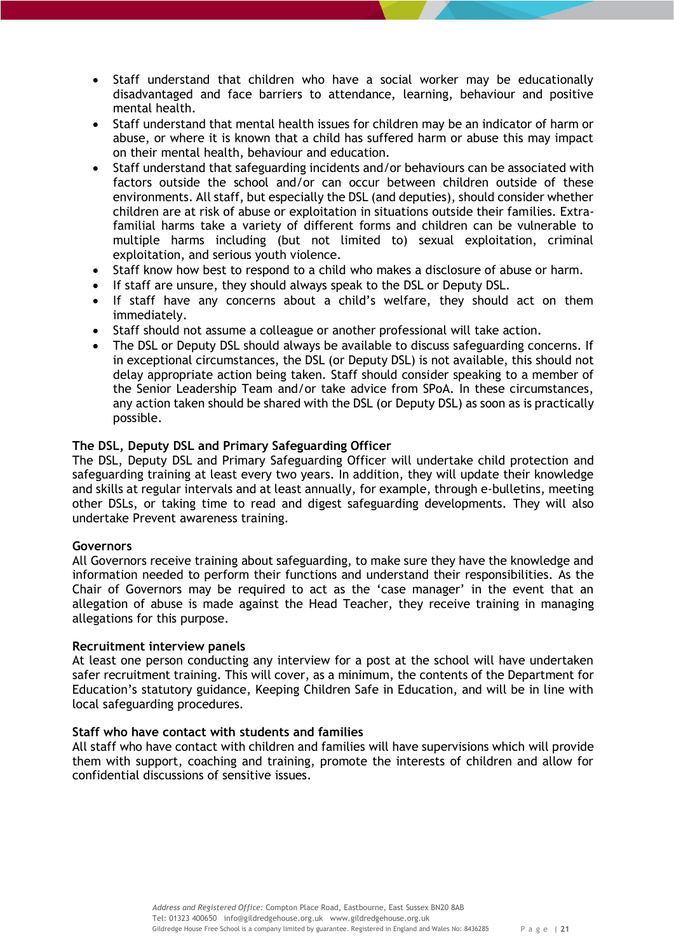- Staff understand that children who have a social worker may be educationally disadvantaged and face barriers to attendance, learning, behaviour and positive mental health.
- Staff understand that mental health issues for children may be an indicator of harm or abuse, or where it is known that a child has suffered harm or abuse this may impact on their mental health, behaviour and education.
- Staff understand that safeguarding incidents and/or behaviours can be associated with factors outside the school and/or can occur between children outside of these environments. All staff, but especially the DSL (and deputies), should consider whether children are at risk of abuse or exploitation in situations outside their families. Extrafamilial harms take a variety of different forms and children can be vulnerable to multiple harms including (but not limited to) sexual exploitation, criminal exploitation, and serious youth violence.
- Staff know how best to respond to a child who makes a disclosure of abuse or harm.
- If staff are unsure, they should always speak to the DSL or Deputy DSL.
- If staff have any concerns about a child's welfare, they should act on them immediately.
- Staff should not assume a colleague or another professional will take action.
- The DSL or Deputy DSL should always be available to discuss safeguarding concerns. If in exceptional circumstances, the DSL (or Deputy DSL) is not available, this should not delay appropriate action being taken. Staff should consider speaking to a member of the Senior Leadership Team and/or take advice from SPoA. In these circumstances, any action taken should be shared with the DSL (or Deputy DSL) as soon as is practically possible.

# <span id="page-20-0"></span>**The DSL, Deputy DSL and Primary Safeguarding Officer**

The DSL, Deputy DSL and Primary Safeguarding Officer will undertake child protection and safeguarding training at least every two years. In addition, they will update their knowledge and skills at regular intervals and at least annually, for example, through e-bulletins, meeting other DSLs, or taking time to read and digest safeguarding developments. They will also undertake Prevent awareness training.

## <span id="page-20-1"></span>**Governors**

All Governors receive training about safeguarding, to make sure they have the knowledge and information needed to perform their functions and understand their responsibilities. As the Chair of Governors may be required to act as the 'case manager' in the event that an allegation of abuse is made against the Head Teacher, they receive training in managing allegations for this purpose.

## <span id="page-20-2"></span>**Recruitment interview panels**

At least one person conducting any interview for a post at the school will have undertaken safer recruitment training. This will cover, as a minimum, the contents of the Department for Education's statutory guidance, Keeping Children Safe in Education, and will be in line with local safeguarding procedures.

# <span id="page-20-3"></span>**Staff who have contact with students and families**

All staff who have contact with children and families will have supervisions which will provide them with support, coaching and training, promote the interests of children and allow for confidential discussions of sensitive issues.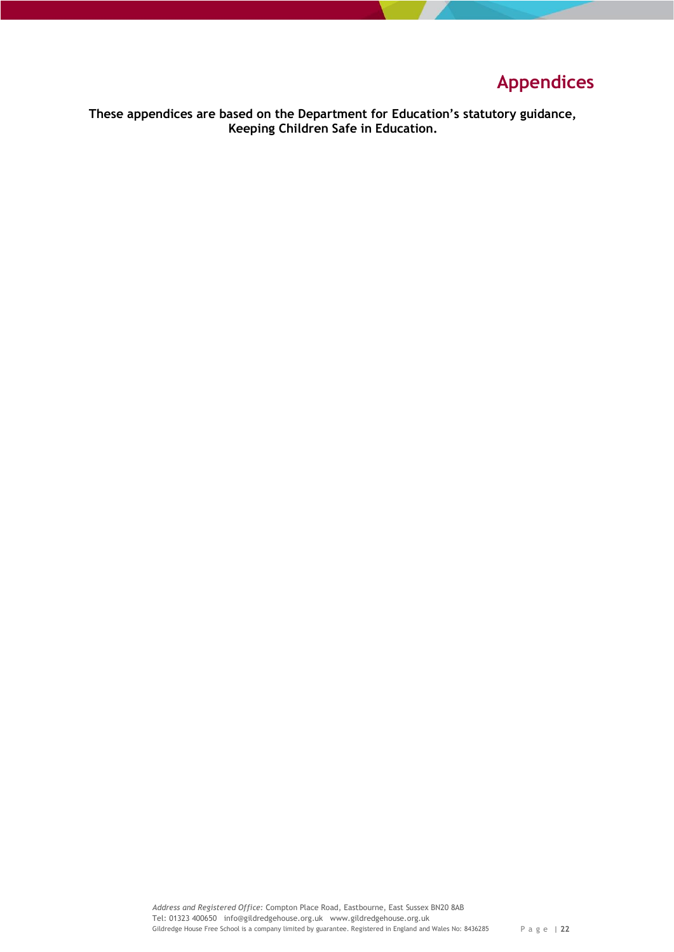# **Appendices**

<span id="page-21-0"></span>**These appendices are based on the Department for Education's statutory guidance, Keeping Children Safe in Education.**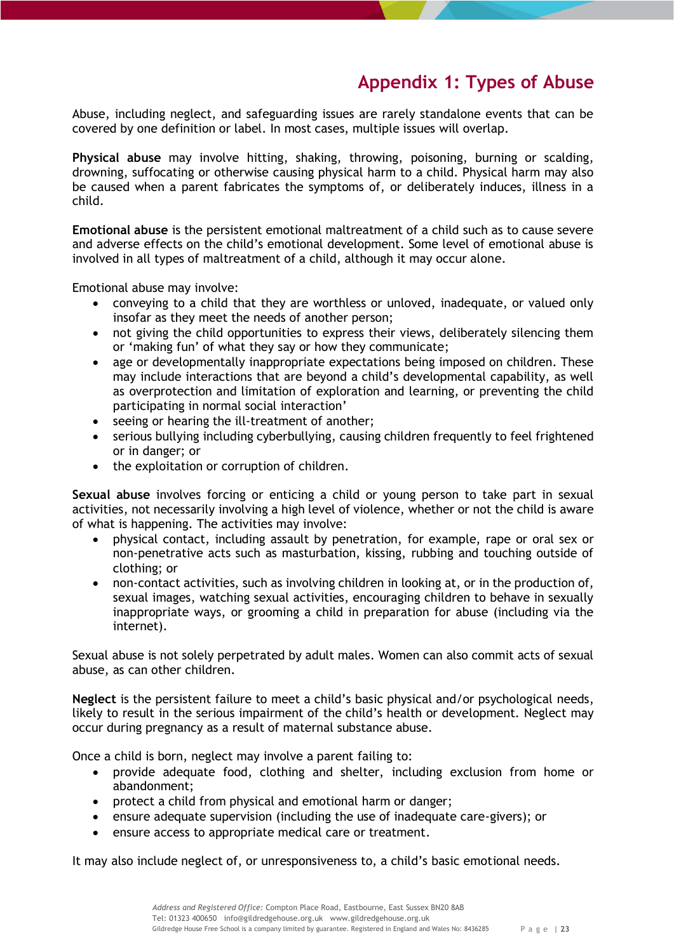# **Appendix 1: Types of Abuse**

<span id="page-22-0"></span>Abuse, including neglect, and safeguarding issues are rarely standalone events that can be covered by one definition or label. In most cases, multiple issues will overlap.

<span id="page-22-1"></span>**Physical abuse** may involve hitting, shaking, throwing, poisoning, burning or scalding, drowning, suffocating or otherwise causing physical harm to a child. Physical harm may also be caused when a parent fabricates the symptoms of, or deliberately induces, illness in a child.

<span id="page-22-2"></span>**Emotional abuse** is the persistent emotional maltreatment of a child such as to cause severe and adverse effects on the child's emotional development. Some level of emotional abuse is involved in all types of maltreatment of a child, although it may occur alone.

Emotional abuse may involve:

- conveying to a child that they are worthless or unloved, inadequate, or valued only insofar as they meet the needs of another person;
- not giving the child opportunities to express their views, deliberately silencing them or 'making fun' of what they say or how they communicate;
- age or developmentally inappropriate expectations being imposed on children. These may include interactions that are beyond a child's developmental capability, as well as overprotection and limitation of exploration and learning, or preventing the child participating in normal social interaction'
- seeing or hearing the ill-treatment of another;
- serious bullying including cyberbullying, causing children frequently to feel frightened or in danger; or
- the exploitation or corruption of children.

<span id="page-22-3"></span>**Sexual abuse** involves forcing or enticing a child or young person to take part in sexual activities, not necessarily involving a high level of violence, whether or not the child is aware of what is happening. The activities may involve:

- physical contact, including assault by penetration, for example, rape or oral sex or non-penetrative acts such as masturbation, kissing, rubbing and touching outside of clothing; or
- non-contact activities, such as involving children in looking at, or in the production of, sexual images, watching sexual activities, encouraging children to behave in sexually inappropriate ways, or grooming a child in preparation for abuse (including via the internet).

Sexual abuse is not solely perpetrated by adult males. Women can also commit acts of sexual abuse, as can other children.

<span id="page-22-4"></span>**Neglect** is the persistent failure to meet a child's basic physical and/or psychological needs, likely to result in the serious impairment of the child's health or development. Neglect may occur during pregnancy as a result of maternal substance abuse.

Once a child is born, neglect may involve a parent failing to:

- provide adequate food, clothing and shelter, including exclusion from home or abandonment;
- protect a child from physical and emotional harm or danger;
- ensure adequate supervision (including the use of inadequate care-givers); or
- ensure access to appropriate medical care or treatment.

It may also include neglect of, or unresponsiveness to, a child's basic emotional needs.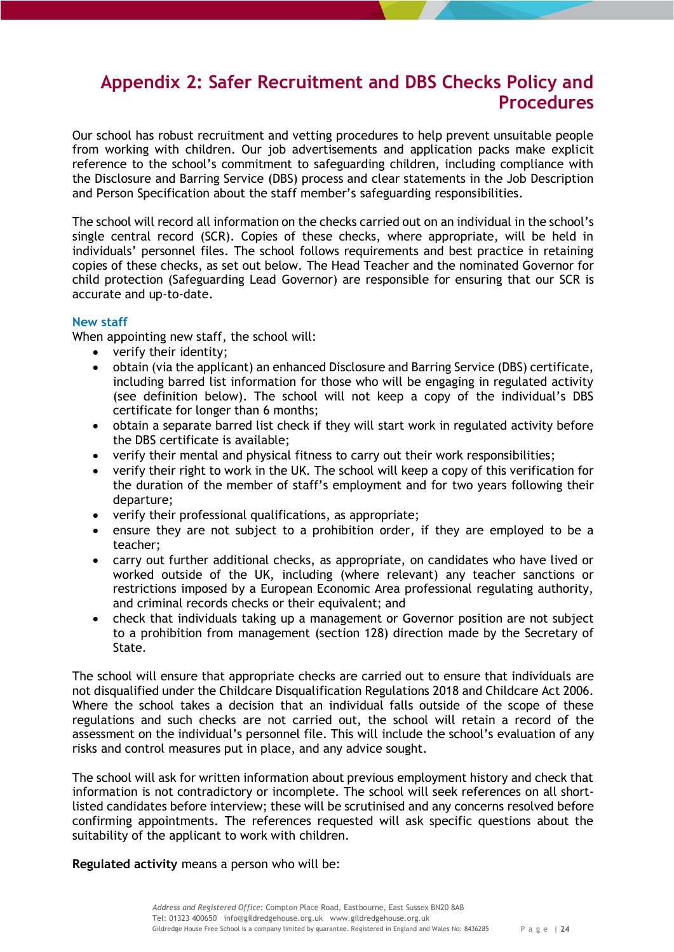# <span id="page-23-0"></span>**Appendix 2: Safer Recruitment and DBS Checks Policy and Procedures**

Our school has robust recruitment and vetting procedures to help prevent unsuitable people from working with children. Our job advertisements and application packs make explicit reference to the school's commitment to safeguarding children, including compliance with the Disclosure and Barring Service (DBS) process and clear statements in the Job Description and Person Specification about the staff member's safeguarding responsibilities.

The school will record all information on the checks carried out on an individual in the school's single central record (SCR). Copies of these checks, where appropriate, will be held in individuals' personnel files. The school follows requirements and best practice in retaining copies of these checks, as set out below. The Head Teacher and the nominated Governor for child protection (Safeguarding Lead Governor) are responsible for ensuring that our SCR is accurate and up-to-date.

# <span id="page-23-1"></span>**New staff**

When appointing new staff, the school will:

- verify their identity;
- obtain (via the applicant) an enhanced Disclosure and Barring Service (DBS) certificate, including barred list information for those who will be engaging in regulated activity (see definition below). The school will not keep a copy of the individual's DBS certificate for longer than 6 months;
- obtain a separate barred list check if they will start work in regulated activity before the DBS certificate is available;
- verify their mental and physical fitness to carry out their work responsibilities;
- verify their right to work in the UK. The school will keep a copy of this verification for the duration of the member of staff's employment and for two years following their departure;
- verify their professional qualifications, as appropriate;
- ensure they are not subject to a prohibition order, if they are employed to be a teacher;
- carry out further additional checks, as appropriate, on candidates who have lived or worked outside of the UK, including (where relevant) any teacher sanctions or restrictions imposed by a European Economic Area professional regulating authority, and criminal records checks or their equivalent; and
- check that individuals taking up a management or Governor position are not subject to a prohibition from management (section 128) direction made by the Secretary of State.

The school will ensure that appropriate checks are carried out to ensure that individuals are not disqualified under the Childcare Disqualification Regulations 2018 and Childcare Act 2006. Where the school takes a decision that an individual falls outside of the scope of these regulations and such checks are not carried out, the school will retain a record of the assessment on the individual's personnel file. This will include the school's evaluation of any risks and control measures put in place, and any advice sought.

The school will ask for written information about previous employment history and check that information is not contradictory or incomplete. The school will seek references on all shortlisted candidates before interview; these will be scrutinised and any concerns resolved before confirming appointments. The references requested will ask specific questions about the suitability of the applicant to work with children.

**Regulated activity** means a person who will be: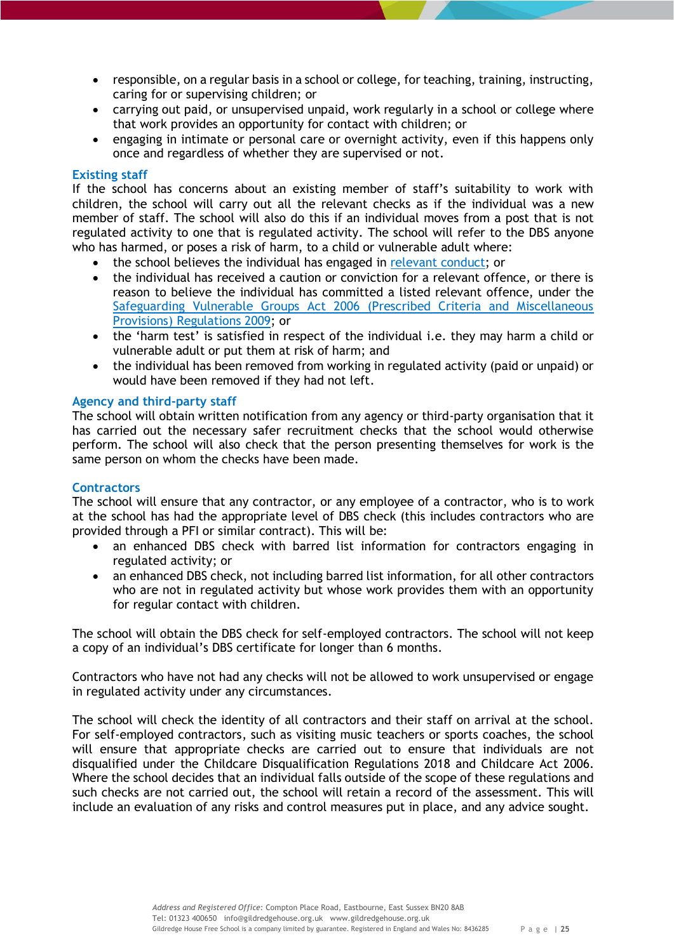- responsible, on a regular basis in a school or college, for teaching, training, instructing, caring for or supervising children; or
- carrying out paid, or unsupervised unpaid, work regularly in a school or college where that work provides an opportunity for contact with children; or
- engaging in intimate or personal care or overnight activity, even if this happens only once and regardless of whether they are supervised or not.

## <span id="page-24-0"></span>**Existing staff**

If the school has concerns about an existing member of staff's suitability to work with children, the school will carry out all the relevant checks as if the individual was a new member of staff. The school will also do this if an individual moves from a post that is not regulated activity to one that is regulated activity. The school will refer to the DBS anyone who has harmed, or poses a risk of harm, to a child or vulnerable adult where:

- the school believes the individual has engaged in [relevant conduct;](https://www.gov.uk/guidance/making-barring-referrals-to-the-dbs#relevant-conduct-in-relation-to-children) or
- the individual has received a caution or conviction for a relevant offence, or there is reason to believe the individual has committed a listed relevant offence, under the [Safeguarding Vulnerable Groups Act 2006 \(Prescribed Criteria and Miscellaneous](http://www.legislation.gov.uk/uksi/2009/37/contents/made)  [Provisions\) Regulations 2009;](http://www.legislation.gov.uk/uksi/2009/37/contents/made) or
- the 'harm test' is satisfied in respect of the individual i.e. they may harm a child or vulnerable adult or put them at risk of harm; and
- the individual has been removed from working in regulated activity (paid or unpaid) or would have been removed if they had not left.

## <span id="page-24-1"></span>**Agency and third-party staff**

The school will obtain written notification from any agency or third-party organisation that it has carried out the necessary safer recruitment checks that the school would otherwise perform. The school will also check that the person presenting themselves for work is the same person on whom the checks have been made.

## <span id="page-24-2"></span>**Contractors**

The school will ensure that any contractor, or any employee of a contractor, who is to work at the school has had the appropriate level of DBS check (this includes contractors who are provided through a PFI or similar contract). This will be:

- an enhanced DBS check with barred list information for contractors engaging in regulated activity; or
- an enhanced DBS check, not including barred list information, for all other contractors who are not in regulated activity but whose work provides them with an opportunity for regular contact with children.

The school will obtain the DBS check for self-employed contractors. The school will not keep a copy of an individual's DBS certificate for longer than 6 months.

Contractors who have not had any checks will not be allowed to work unsupervised or engage in regulated activity under any circumstances.

The school will check the identity of all contractors and their staff on arrival at the school. For self-employed contractors, such as visiting music teachers or sports coaches, the school will ensure that appropriate checks are carried out to ensure that individuals are not disqualified under the Childcare Disqualification Regulations 2018 and Childcare Act 2006. Where the school decides that an individual falls outside of the scope of these regulations and such checks are not carried out, the school will retain a record of the assessment. This will include an evaluation of any risks and control measures put in place, and any advice sought.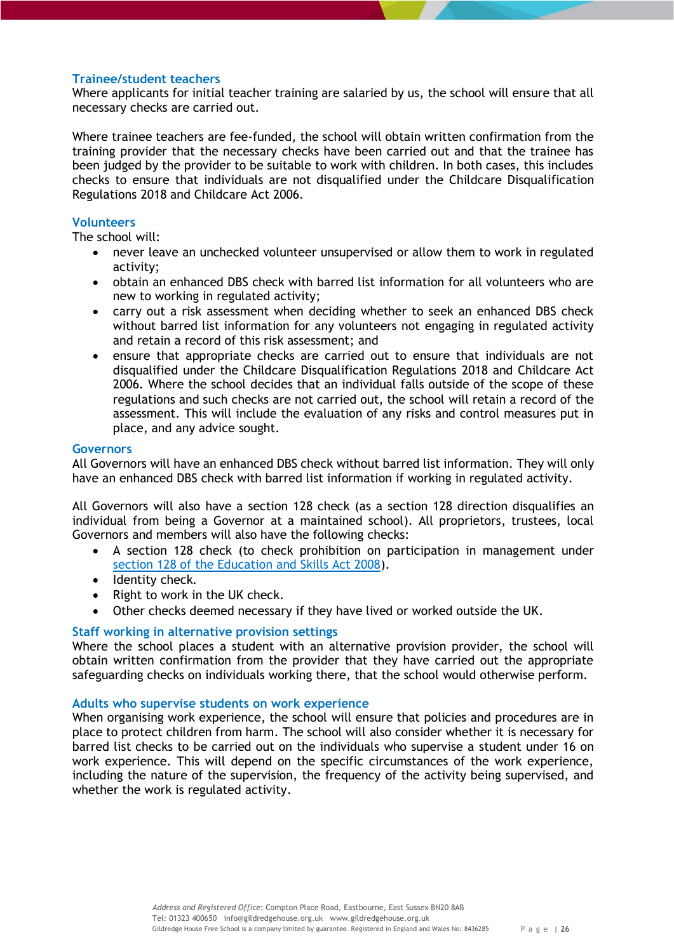# <span id="page-25-0"></span>**Trainee/student teachers**

Where applicants for initial teacher training are salaried by us, the school will ensure that all necessary checks are carried out.

Where trainee teachers are fee-funded, the school will obtain written confirmation from the training provider that the necessary checks have been carried out and that the trainee has been judged by the provider to be suitable to work with children. In both cases, this includes checks to ensure that individuals are not disqualified under the Childcare Disqualification Regulations 2018 and Childcare Act 2006.

# <span id="page-25-1"></span>**Volunteers**

The school will:

- never leave an unchecked volunteer unsupervised or allow them to work in regulated activity;
- obtain an enhanced DBS check with barred list information for all volunteers who are new to working in regulated activity;
- carry out a risk assessment when deciding whether to seek an enhanced DBS check without barred list information for any volunteers not engaging in regulated activity and retain a record of this risk assessment; and
- ensure that appropriate checks are carried out to ensure that individuals are not disqualified under the Childcare Disqualification Regulations 2018 and Childcare Act 2006. Where the school decides that an individual falls outside of the scope of these regulations and such checks are not carried out, the school will retain a record of the assessment. This will include the evaluation of any risks and control measures put in place, and any advice sought.

## <span id="page-25-2"></span>**Governors**

All Governors will have an enhanced DBS check without barred list information. They will only have an enhanced DBS check with barred list information if working in regulated activity.

All Governors will also have a section 128 check (as a section 128 direction disqualifies an individual from being a Governor at a maintained school). All proprietors, trustees, local Governors and members will also have the following checks:

- A section 128 check (to check prohibition on participation in management under [section 128 of the Education and Skills Act 2008\)](https://www.legislation.gov.uk/ukpga/2008/25/section/128).
- Identity check.
- Right to work in the UK check.
- Other checks deemed necessary if they have lived or worked outside the UK.

# <span id="page-25-3"></span>**Staff working in alternative provision settings**

Where the school places a student with an alternative provision provider, the school will obtain written confirmation from the provider that they have carried out the appropriate safeguarding checks on individuals working there, that the school would otherwise perform.

## <span id="page-25-4"></span>**Adults who supervise students on work experience**

When organising work experience, the school will ensure that policies and procedures are in place to protect children from harm. The school will also consider whether it is necessary for barred list checks to be carried out on the individuals who supervise a student under 16 on work experience. This will depend on the specific circumstances of the work experience, including the nature of the supervision, the frequency of the activity being supervised, and whether the work is regulated activity.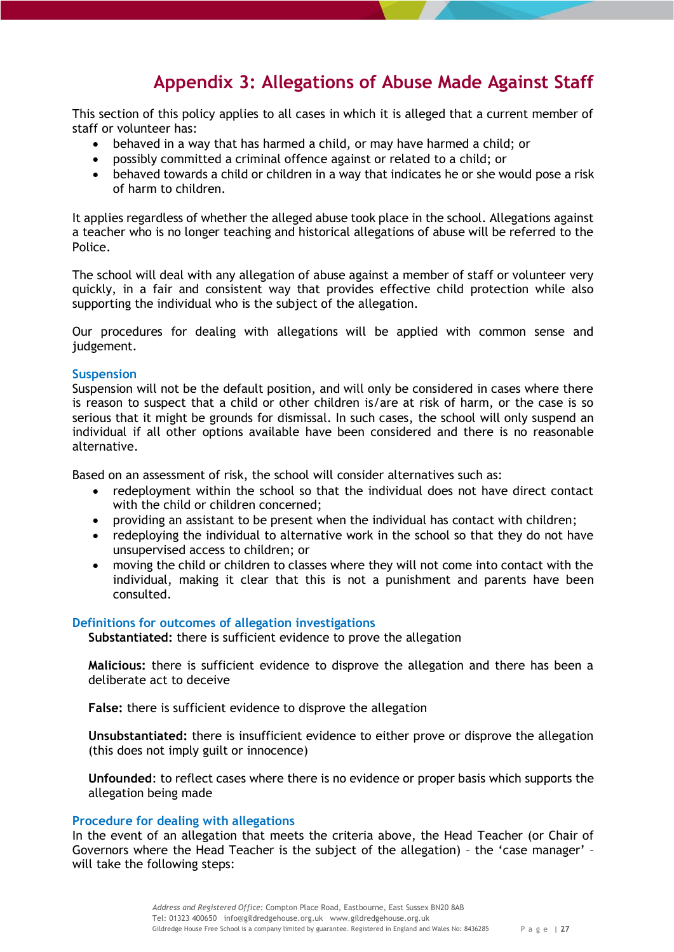# **Appendix 3: Allegations of Abuse Made Against Staff**

<span id="page-26-0"></span>This section of this policy applies to all cases in which it is alleged that a current member of staff or volunteer has:

- behaved in a way that has harmed a child, or may have harmed a child; or
- possibly committed a criminal offence against or related to a child; or
- behaved towards a child or children in a way that indicates he or she would pose a risk of harm to children.

It applies regardless of whether the alleged abuse took place in the school. Allegations against a teacher who is no longer teaching and historical allegations of abuse will be referred to the Police.

The school will deal with any allegation of abuse against a member of staff or volunteer very quickly, in a fair and consistent way that provides effective child protection while also supporting the individual who is the subject of the allegation.

Our procedures for dealing with allegations will be applied with common sense and judgement.

## <span id="page-26-1"></span>**Suspension**

Suspension will not be the default position, and will only be considered in cases where there is reason to suspect that a child or other children is/are at risk of harm, or the case is so serious that it might be grounds for dismissal. In such cases, the school will only suspend an individual if all other options available have been considered and there is no reasonable alternative.

Based on an assessment of risk, the school will consider alternatives such as:

- redeployment within the school so that the individual does not have direct contact with the child or children concerned;
- providing an assistant to be present when the individual has contact with children;
- redeploying the individual to alternative work in the school so that they do not have unsupervised access to children; or
- moving the child or children to classes where they will not come into contact with the individual, making it clear that this is not a punishment and parents have been consulted.

## <span id="page-26-3"></span><span id="page-26-2"></span>**Definitions for outcomes of allegation investigations**

**Substantiated:** there is sufficient evidence to prove the allegation

<span id="page-26-4"></span>**Malicious:** there is sufficient evidence to disprove the allegation and there has been a deliberate act to deceive

<span id="page-26-5"></span>**False:** there is sufficient evidence to disprove the allegation

<span id="page-26-6"></span>**Unsubstantiated:** there is insufficient evidence to either prove or disprove the allegation (this does not imply guilt or innocence)

<span id="page-26-7"></span>**Unfounded**: to reflect cases where there is no evidence or proper basis which supports the allegation being made

## <span id="page-26-8"></span>**Procedure for dealing with allegations**

In the event of an allegation that meets the criteria above, the Head Teacher (or Chair of Governors where the Head Teacher is the subject of the allegation) – the 'case manager' – will take the following steps: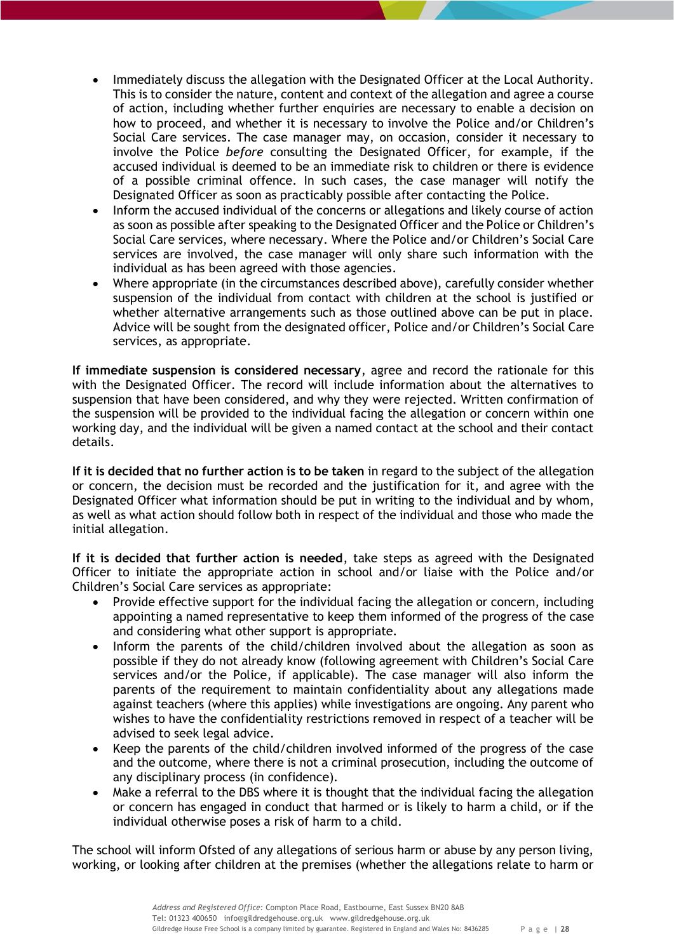- Immediately discuss the allegation with the Designated Officer at the Local Authority. This is to consider the nature, content and context of the allegation and agree a course of action, including whether further enquiries are necessary to enable a decision on how to proceed, and whether it is necessary to involve the Police and/or Children's Social Care services. The case manager may, on occasion, consider it necessary to involve the Police *before* consulting the Designated Officer, for example, if the accused individual is deemed to be an immediate risk to children or there is evidence of a possible criminal offence. In such cases, the case manager will notify the Designated Officer as soon as practicably possible after contacting the Police.
- Inform the accused individual of the concerns or allegations and likely course of action as soon as possible after speaking to the Designated Officer and the Police or Children's Social Care services, where necessary. Where the Police and/or Children's Social Care services are involved, the case manager will only share such information with the individual as has been agreed with those agencies.
- Where appropriate (in the circumstances described above), carefully consider whether suspension of the individual from contact with children at the school is justified or whether alternative arrangements such as those outlined above can be put in place. Advice will be sought from the designated officer, Police and/or Children's Social Care services, as appropriate.

**If immediate suspension is considered necessary**, agree and record the rationale for this with the Designated Officer. The record will include information about the alternatives to suspension that have been considered, and why they were rejected. Written confirmation of the suspension will be provided to the individual facing the allegation or concern within one working day, and the individual will be given a named contact at the school and their contact details.

**If it is decided that no further action is to be taken** in regard to the subject of the allegation or concern, the decision must be recorded and the justification for it, and agree with the Designated Officer what information should be put in writing to the individual and by whom, as well as what action should follow both in respect of the individual and those who made the initial allegation.

**If it is decided that further action is needed**, take steps as agreed with the Designated Officer to initiate the appropriate action in school and/or liaise with the Police and/or Children's Social Care services as appropriate:

- Provide effective support for the individual facing the allegation or concern, including appointing a named representative to keep them informed of the progress of the case and considering what other support is appropriate.
- Inform the parents of the child/children involved about the allegation as soon as possible if they do not already know (following agreement with Children's Social Care services and/or the Police, if applicable). The case manager will also inform the parents of the requirement to maintain confidentiality about any allegations made against teachers (where this applies) while investigations are ongoing. Any parent who wishes to have the confidentiality restrictions removed in respect of a teacher will be advised to seek legal advice.
- Keep the parents of the child/children involved informed of the progress of the case and the outcome, where there is not a criminal prosecution, including the outcome of any disciplinary process (in confidence).
- Make a referral to the DBS where it is thought that the individual facing the allegation or concern has engaged in conduct that harmed or is likely to harm a child, or if the individual otherwise poses a risk of harm to a child.

The school will inform Ofsted of any allegations of serious harm or abuse by any person living, working, or looking after children at the premises (whether the allegations relate to harm or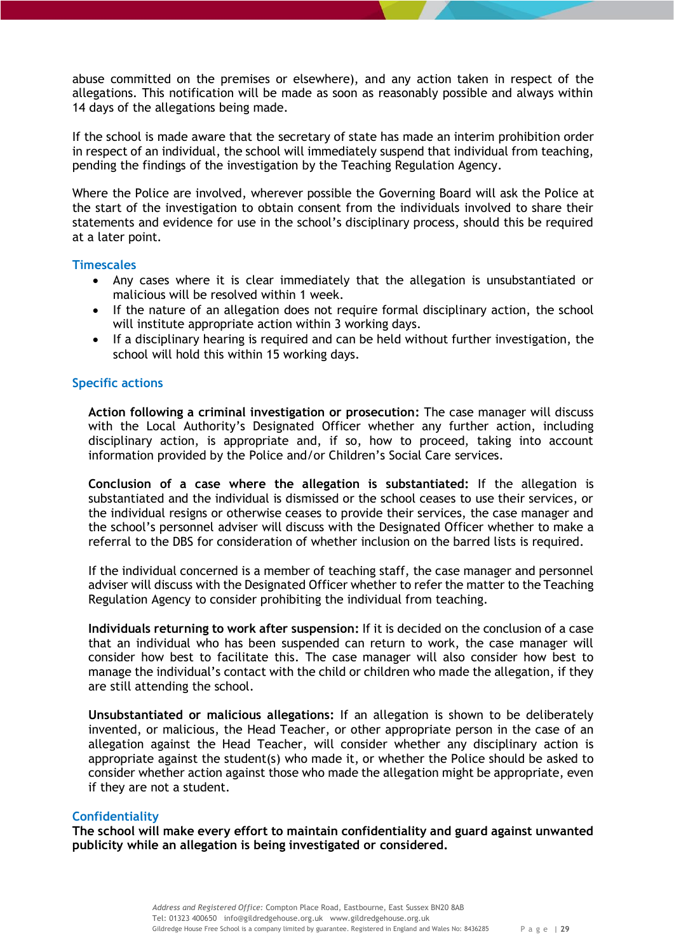abuse committed on the premises or elsewhere), and any action taken in respect of the allegations. This notification will be made as soon as reasonably possible and always within 14 days of the allegations being made.

If the school is made aware that the secretary of state has made an interim prohibition order in respect of an individual, the school will immediately suspend that individual from teaching, pending the findings of the investigation by the Teaching Regulation Agency.

Where the Police are involved, wherever possible the Governing Board will ask the Police at the start of the investigation to obtain consent from the individuals involved to share their statements and evidence for use in the school's disciplinary process, should this be required at a later point.

## <span id="page-28-0"></span>**Timescales**

- Any cases where it is clear immediately that the allegation is unsubstantiated or malicious will be resolved within 1 week.
- If the nature of an allegation does not require formal disciplinary action, the school will institute appropriate action within 3 working days.
- If a disciplinary hearing is required and can be held without further investigation, the school will hold this within 15 working days.

# <span id="page-28-1"></span>**Specific actions**

<span id="page-28-2"></span>**Action following a criminal investigation or prosecution:** The case manager will discuss with the Local Authority's Designated Officer whether any further action, including disciplinary action, is appropriate and, if so, how to proceed, taking into account information provided by the Police and/or Children's Social Care services.

<span id="page-28-3"></span>**Conclusion of a case where the allegation is substantiated:** If the allegation is substantiated and the individual is dismissed or the school ceases to use their services, or the individual resigns or otherwise ceases to provide their services, the case manager and the school's personnel adviser will discuss with the Designated Officer whether to make a referral to the DBS for consideration of whether inclusion on the barred lists is required.

If the individual concerned is a member of teaching staff, the case manager and personnel adviser will discuss with the Designated Officer whether to refer the matter to the Teaching Regulation Agency to consider prohibiting the individual from teaching.

<span id="page-28-4"></span>**Individuals returning to work after suspension:** If it is decided on the conclusion of a case that an individual who has been suspended can return to work, the case manager will consider how best to facilitate this. The case manager will also consider how best to manage the individual's contact with the child or children who made the allegation, if they are still attending the school.

<span id="page-28-5"></span>**Unsubstantiated or malicious allegations:** If an allegation is shown to be deliberately invented, or malicious, the Head Teacher, or other appropriate person in the case of an allegation against the Head Teacher, will consider whether any disciplinary action is appropriate against the student(s) who made it, or whether the Police should be asked to consider whether action against those who made the allegation might be appropriate, even if they are not a student.

## <span id="page-28-6"></span>**Confidentiality**

**The school will make every effort to maintain confidentiality and guard against unwanted publicity while an allegation is being investigated or considered.**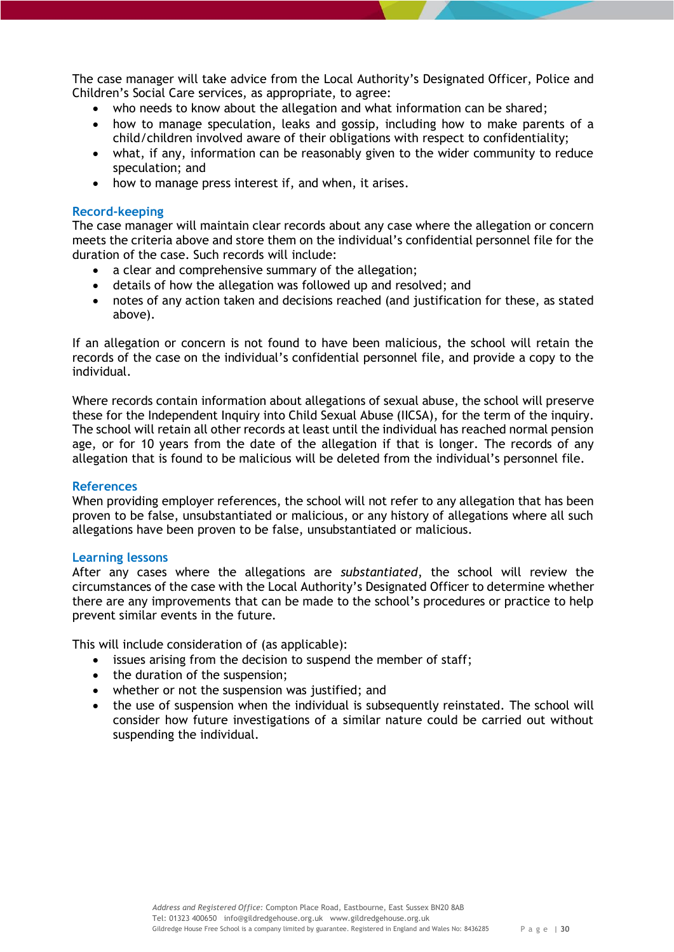The case manager will take advice from the Local Authority's Designated Officer, Police and Children's Social Care services, as appropriate, to agree:

- who needs to know about the allegation and what information can be shared;
- how to manage speculation, leaks and gossip, including how to make parents of a child/children involved aware of their obligations with respect to confidentiality;
- what, if any, information can be reasonably given to the wider community to reduce speculation; and
- how to manage press interest if, and when, it arises.

## <span id="page-29-0"></span>**Record-keeping**

The case manager will maintain clear records about any case where the allegation or concern meets the criteria above and store them on the individual's confidential personnel file for the duration of the case. Such records will include:

- a clear and comprehensive summary of the allegation;
- details of how the allegation was followed up and resolved; and
- notes of any action taken and decisions reached (and justification for these, as stated above).

If an allegation or concern is not found to have been malicious, the school will retain the records of the case on the individual's confidential personnel file, and provide a copy to the individual.

Where records contain information about allegations of sexual abuse, the school will preserve these for the Independent Inquiry into Child Sexual Abuse (IICSA), for the term of the inquiry. The school will retain all other records at least until the individual has reached normal pension age, or for 10 years from the date of the allegation if that is longer. The records of any allegation that is found to be malicious will be deleted from the individual's personnel file.

## <span id="page-29-1"></span>**References**

When providing employer references, the school will not refer to any allegation that has been proven to be false, unsubstantiated or malicious, or any history of allegations where all such allegations have been proven to be false, unsubstantiated or malicious.

## <span id="page-29-2"></span>**Learning lessons**

After any cases where the allegations are *substantiated*, the school will review the circumstances of the case with the Local Authority's Designated Officer to determine whether there are any improvements that can be made to the school's procedures or practice to help prevent similar events in the future.

This will include consideration of (as applicable):

- issues arising from the decision to suspend the member of staff;
- the duration of the suspension;
- whether or not the suspension was justified; and
- the use of suspension when the individual is subsequently reinstated. The school will consider how future investigations of a similar nature could be carried out without suspending the individual.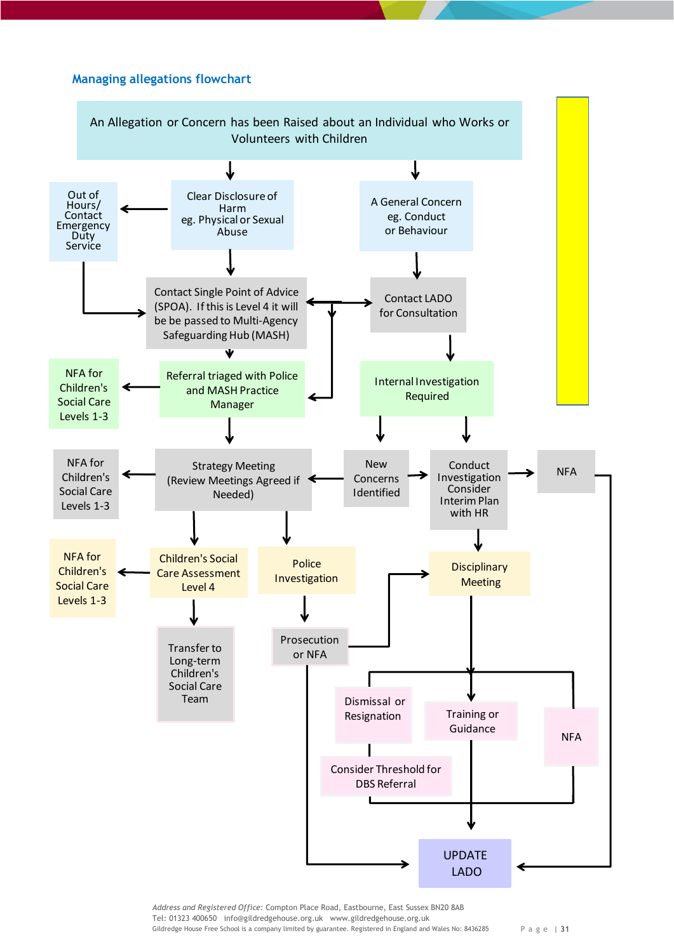## <span id="page-30-0"></span>**Managing allegations flowchart Managing Allegations Flowchart**



Tel: 01323 400650 info@gildredgehouse.org.uk www.gildredgehouse.org.uk Gildredge House Free School is a company limited by guarantee. Registered in England and Wales No: 8436285 P a g e | **31**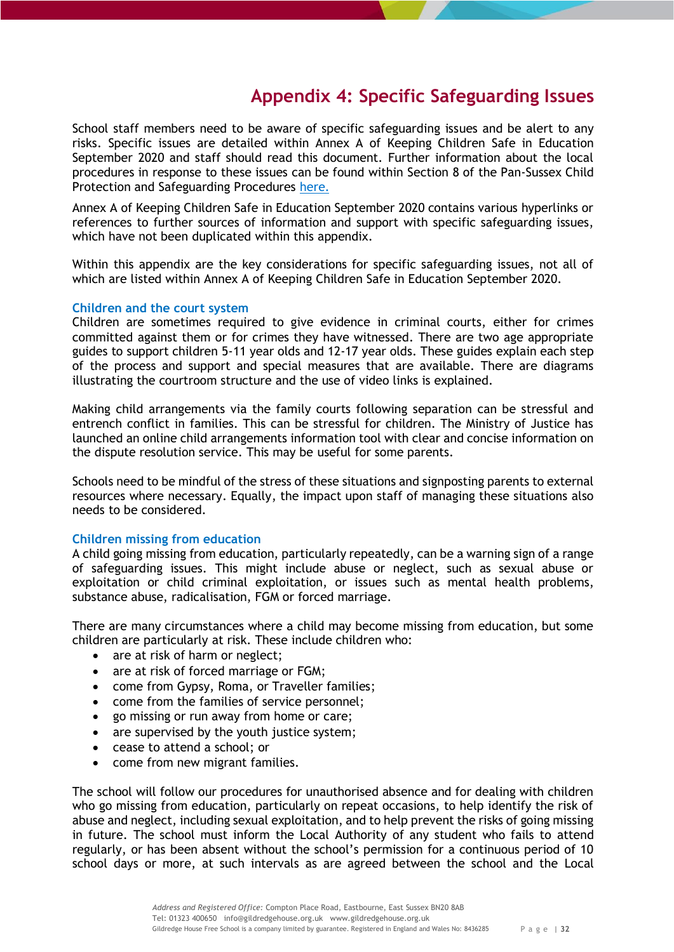# **Appendix 4: Specific Safeguarding Issues**

<span id="page-31-0"></span>School staff members need to be aware of specific safeguarding issues and be alert to any risks. Specific issues are detailed within Annex A of Keeping Children Safe in Education September 2020 and staff should read this document. Further information about the local procedures in response to these issues can be found within Section 8 of the Pan-Sussex Child Protection and Safeguarding Procedures [here.](https://sussexchildprotection.procedures.org.uk/page/contents)

Annex A of Keeping Children Safe in Education September 2020 contains various hyperlinks or references to further sources of information and support with specific safeguarding issues, which have not been duplicated within this appendix.

Within this appendix are the key considerations for specific safeguarding issues, not all of which are listed within Annex A of Keeping Children Safe in Education September 2020.

## <span id="page-31-1"></span>**Children and the court system**

Children are sometimes required to give evidence in criminal courts, either for crimes committed against them or for crimes they have witnessed. There are two age appropriate guides to support children 5-11 year olds and 12-17 year olds. These guides explain each step of the process and support and special measures that are available. There are diagrams illustrating the courtroom structure and the use of video links is explained.

Making child arrangements via the family courts following separation can be stressful and entrench conflict in families. This can be stressful for children. The Ministry of Justice has launched an online child arrangements information tool with clear and concise information on the dispute resolution service. This may be useful for some parents.

Schools need to be mindful of the stress of these situations and signposting parents to external resources where necessary. Equally, the impact upon staff of managing these situations also needs to be considered.

## <span id="page-31-2"></span>**Children missing from education**

A child going missing from education, particularly repeatedly, can be a warning sign of a range of safeguarding issues. This might include abuse or neglect, such as sexual abuse or exploitation or child criminal exploitation, or issues such as mental health problems, substance abuse, radicalisation, FGM or forced marriage.

There are many circumstances where a child may become missing from education, but some children are particularly at risk. These include children who:

- are at risk of harm or neglect:
- are at risk of forced marriage or FGM;
- come from Gypsy, Roma, or Traveller families;
- come from the families of service personnel;
- go missing or run away from home or care;
- are supervised by the youth justice system;
- cease to attend a school; or
- come from new migrant families.

The school will follow our procedures for unauthorised absence and for dealing with children who go missing from education, particularly on repeat occasions, to help identify the risk of abuse and neglect, including sexual exploitation, and to help prevent the risks of going missing in future. The school must inform the Local Authority of any student who fails to attend regularly, or has been absent without the school's permission for a continuous period of 10 school days or more, at such intervals as are agreed between the school and the Local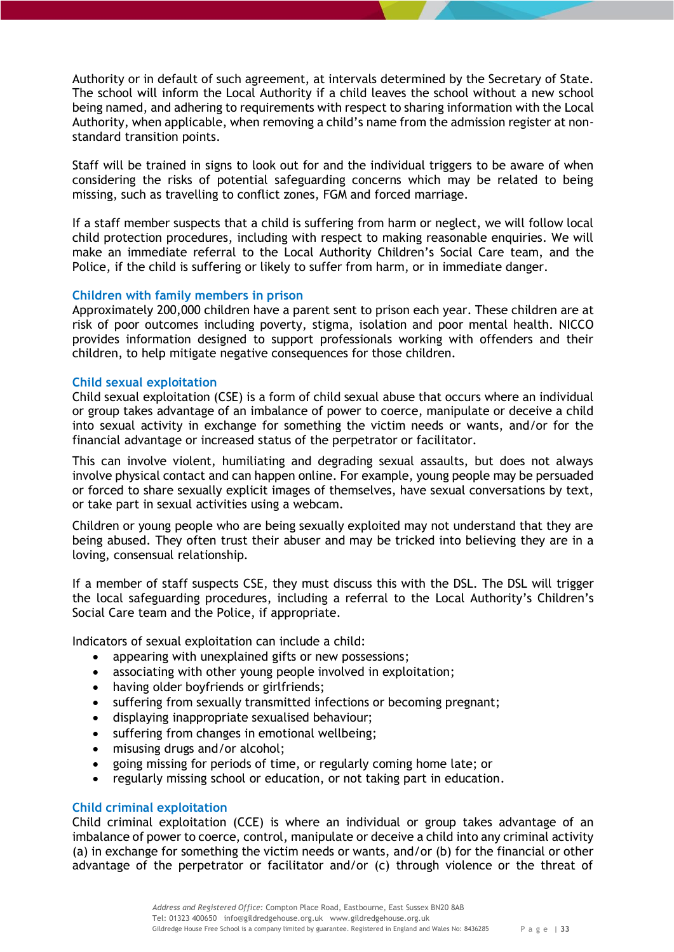Authority or in default of such agreement, at intervals determined by the Secretary of State. The school will inform the Local Authority if a child leaves the school without a new school being named, and adhering to requirements with respect to sharing information with the Local Authority, when applicable, when removing a child's name from the admission register at nonstandard transition points.

Staff will be trained in signs to look out for and the individual triggers to be aware of when considering the risks of potential safeguarding concerns which may be related to being missing, such as travelling to conflict zones, FGM and forced marriage.

If a staff member suspects that a child is suffering from harm or neglect, we will follow local child protection procedures, including with respect to making reasonable enquiries. We will make an immediate referral to the Local Authority Children's Social Care team, and the Police, if the child is suffering or likely to suffer from harm, or in immediate danger.

# <span id="page-32-0"></span>**Children with family members in prison**

Approximately 200,000 children have a parent sent to prison each year. These children are at risk of poor outcomes including poverty, stigma, isolation and poor mental health. NICCO provides information designed to support professionals working with offenders and their children, to help mitigate negative consequences for those children.

## <span id="page-32-1"></span>**Child sexual exploitation**

Child sexual exploitation (CSE) is a form of child sexual abuse that occurs where an individual or group takes advantage of an imbalance of power to coerce, manipulate or deceive a child into sexual activity in exchange for something the victim needs or wants, and/or for the financial advantage or increased status of the perpetrator or facilitator.

This can involve violent, humiliating and degrading sexual assaults, but does not always involve physical contact and can happen online. For example, young people may be persuaded or forced to share sexually explicit images of themselves, have sexual conversations by text, or take part in sexual activities using a webcam.

Children or young people who are being sexually exploited may not understand that they are being abused. They often trust their abuser and may be tricked into believing they are in a loving, consensual relationship.

If a member of staff suspects CSE, they must discuss this with the DSL. The DSL will trigger the local safeguarding procedures, including a referral to the Local Authority's Children's Social Care team and the Police, if appropriate.

Indicators of sexual exploitation can include a child:

- appearing with unexplained gifts or new possessions;
- associating with other young people involved in exploitation;
- having older boyfriends or girlfriends;
- suffering from sexually transmitted infections or becoming pregnant;
- displaying inappropriate sexualised behaviour;
- suffering from changes in emotional wellbeing;
- misusing drugs and/or alcohol;
- going missing for periods of time, or regularly coming home late; or
- regularly missing school or education, or not taking part in education.

# <span id="page-32-2"></span>**Child criminal exploitation**

Child criminal exploitation (CCE) is where an individual or group takes advantage of an imbalance of power to coerce, control, manipulate or deceive a child into any criminal activity (a) in exchange for something the victim needs or wants, and/or (b) for the financial or other advantage of the perpetrator or facilitator and/or (c) through violence or the threat of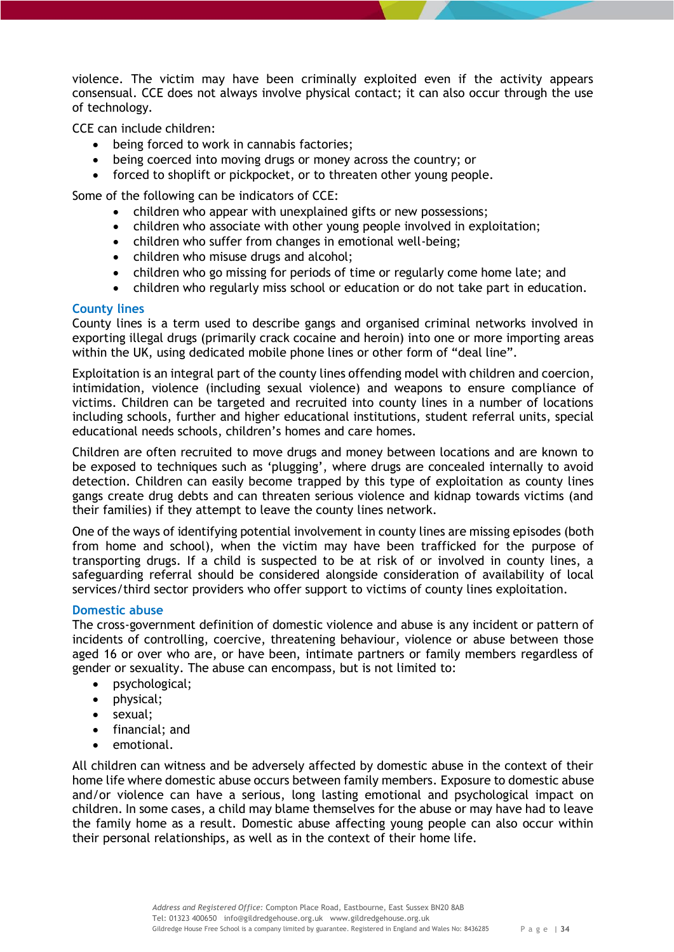violence. The victim may have been criminally exploited even if the activity appears consensual. CCE does not always involve physical contact; it can also occur through the use of technology.

CCE can include children:

- being forced to work in cannabis factories;
- being coerced into moving drugs or money across the country; or
- forced to shoplift or pickpocket, or to threaten other young people.

Some of the following can be indicators of CCE:

- children who appear with unexplained gifts or new possessions;
- children who associate with other young people involved in exploitation;
- children who suffer from changes in emotional well-being;
- children who misuse drugs and alcohol;
- children who go missing for periods of time or regularly come home late; and
- children who regularly miss school or education or do not take part in education.

## <span id="page-33-0"></span>**County lines**

County lines is a term used to describe gangs and organised criminal networks involved in exporting illegal drugs (primarily crack cocaine and heroin) into one or more importing areas within the UK, using dedicated mobile phone lines or other form of "deal line".

Exploitation is an integral part of the county lines offending model with children and coercion, intimidation, violence (including sexual violence) and weapons to ensure compliance of victims. Children can be targeted and recruited into county lines in a number of locations including schools, further and higher educational institutions, student referral units, special educational needs schools, children's homes and care homes.

Children are often recruited to move drugs and money between locations and are known to be exposed to techniques such as 'plugging', where drugs are concealed internally to avoid detection. Children can easily become trapped by this type of exploitation as county lines gangs create drug debts and can threaten serious violence and kidnap towards victims (and their families) if they attempt to leave the county lines network.

One of the ways of identifying potential involvement in county lines are missing episodes (both from home and school), when the victim may have been trafficked for the purpose of transporting drugs. If a child is suspected to be at risk of or involved in county lines, a safeguarding referral should be considered alongside consideration of availability of local services/third sector providers who offer support to victims of county lines exploitation.

## <span id="page-33-1"></span>**Domestic abuse**

The cross-government definition of domestic violence and abuse is any incident or pattern of incidents of controlling, coercive, threatening behaviour, violence or abuse between those aged 16 or over who are, or have been, intimate partners or family members regardless of gender or sexuality. The abuse can encompass, but is not limited to:

- psychological;
- physical;
- sexual;
- financial; and
- emotional.

All children can witness and be adversely affected by domestic abuse in the context of their home life where domestic abuse occurs between family members. Exposure to domestic abuse and/or violence can have a serious, long lasting emotional and psychological impact on children. In some cases, a child may blame themselves for the abuse or may have had to leave the family home as a result. Domestic abuse affecting young people can also occur within their personal relationships, as well as in the context of their home life.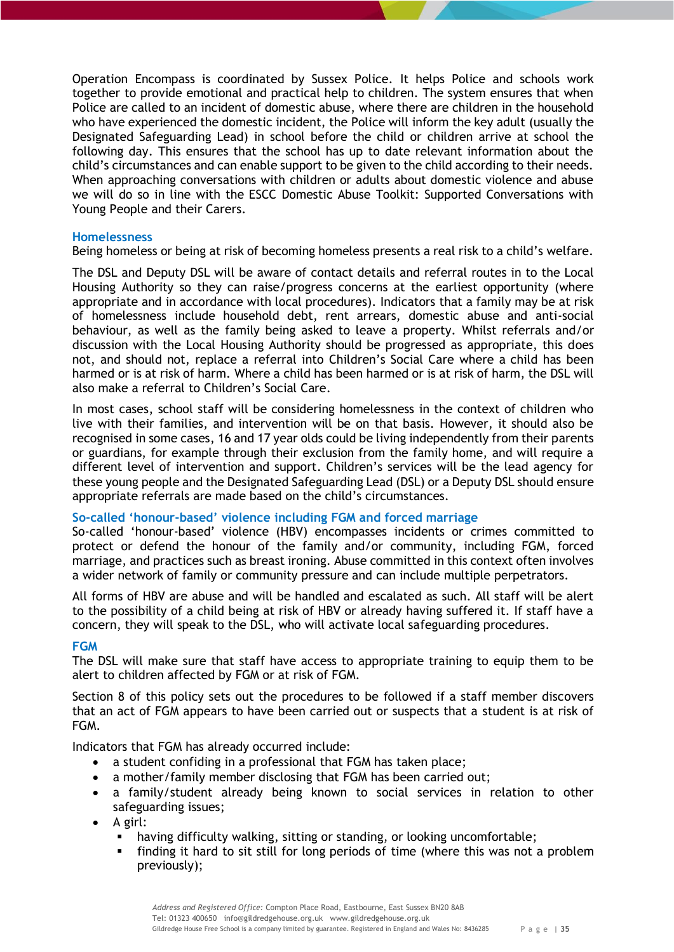Operation Encompass is coordinated by Sussex Police. It helps Police and schools work together to provide emotional and practical help to children. The system ensures that when Police are called to an incident of domestic abuse, where there are children in the household who have experienced the domestic incident, the Police will inform the key adult (usually the Designated Safeguarding Lead) in school before the child or children arrive at school the following day. This ensures that the school has up to date relevant information about the child's circumstances and can enable support to be given to the child according to their needs. When approaching conversations with children or adults about domestic violence and abuse we will do so in line with the ESCC Domestic Abuse Toolkit: Supported Conversations with Young People and their Carers.

## <span id="page-34-0"></span>**Homelessness**

Being homeless or being at risk of becoming homeless presents a real risk to a child's welfare.

The DSL and Deputy DSL will be aware of contact details and referral routes in to the Local Housing Authority so they can raise/progress concerns at the earliest opportunity (where appropriate and in accordance with local procedures). Indicators that a family may be at risk of homelessness include household debt, rent arrears, domestic abuse and anti-social behaviour, as well as the family being asked to leave a property. Whilst referrals and/or discussion with the Local Housing Authority should be progressed as appropriate, this does not, and should not, replace a referral into Children's Social Care where a child has been harmed or is at risk of harm. Where a child has been harmed or is at risk of harm, the DSL will also make a referral to Children's Social Care.

In most cases, school staff will be considering homelessness in the context of children who live with their families, and intervention will be on that basis. However, it should also be recognised in some cases, 16 and 17 year olds could be living independently from their parents or guardians, for example through their exclusion from the family home, and will require a different level of intervention and support. Children's services will be the lead agency for these young people and the Designated Safeguarding Lead (DSL) or a Deputy DSL should ensure appropriate referrals are made based on the child's circumstances.

# <span id="page-34-1"></span>**So-called 'honour-based' violence including FGM and forced marriage**

So-called 'honour-based' violence (HBV) encompasses incidents or crimes committed to protect or defend the honour of the family and/or community, including FGM, forced marriage, and practices such as breast ironing. Abuse committed in this context often involves a wider network of family or community pressure and can include multiple perpetrators.

All forms of HBV are abuse and will be handled and escalated as such. All staff will be alert to the possibility of a child being at risk of HBV or already having suffered it. If staff have a concern, they will speak to the DSL, who will activate local safeguarding procedures.

## <span id="page-34-2"></span>**FGM**

The DSL will make sure that staff have access to appropriate training to equip them to be alert to children affected by FGM or at risk of FGM.

Section 8 of this policy sets out the procedures to be followed if a staff member discovers that an act of FGM appears to have been carried out or suspects that a student is at risk of FGM.

Indicators that FGM has already occurred include:

- a student confiding in a professional that FGM has taken place;
- a mother/family member disclosing that FGM has been carried out;
- a family/student already being known to social services in relation to other safeguarding issues;
- A girl:
	- having difficulty walking, sitting or standing, or looking uncomfortable;
	- finding it hard to sit still for long periods of time (where this was not a problem previously);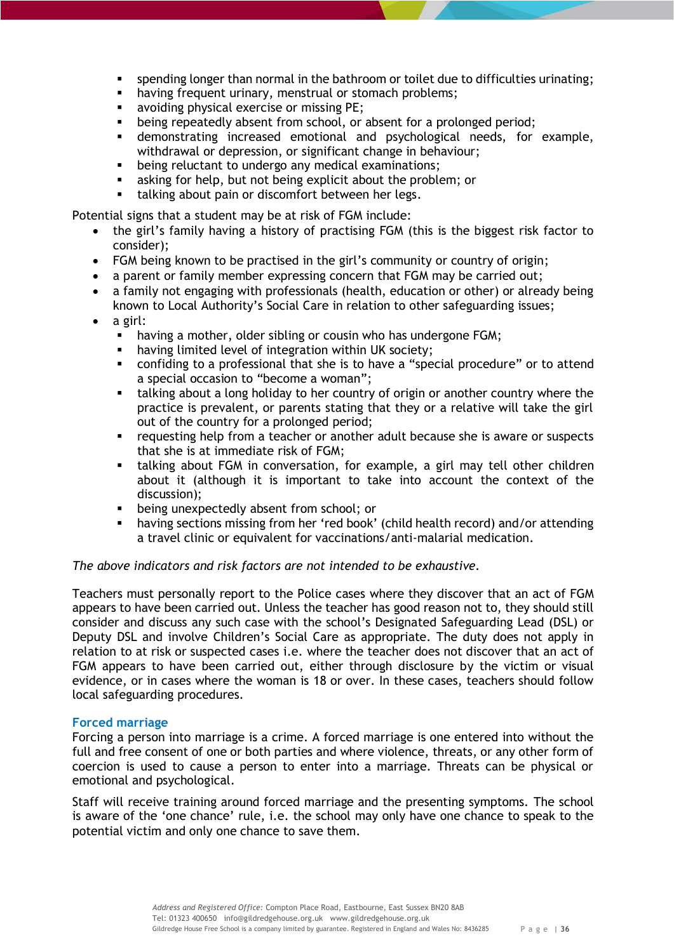- spending longer than normal in the bathroom or toilet due to difficulties urinating;
- **having frequent urinary, menstrual or stomach problems;**
- avoiding physical exercise or missing PE;
- being repeatedly absent from school, or absent for a prolonged period;
- demonstrating increased emotional and psychological needs, for example, withdrawal or depression, or significant change in behaviour;
- being reluctant to undergo any medical examinations;
- asking for help, but not being explicit about the problem; or
- **talking about pain or discomfort between her legs.**

Potential signs that a student may be at risk of FGM include:

- the girl's family having a history of practising FGM (this is the biggest risk factor to consider);
- FGM being known to be practised in the girl's community or country of origin;
- a parent or family member expressing concern that FGM may be carried out;
- a family not engaging with professionals (health, education or other) or already being known to Local Authority's Social Care in relation to other safeguarding issues;
- a girl:
	- **•** having a mother, older sibling or cousin who has undergone FGM;
	- having limited level of integration within UK society;
	- confiding to a professional that she is to have a "special procedure" or to attend a special occasion to "become a woman";
	- talking about a long holiday to her country of origin or another country where the practice is prevalent, or parents stating that they or a relative will take the girl out of the country for a prolonged period;
	- **•** requesting help from a teacher or another adult because she is aware or suspects that she is at immediate risk of FGM;
	- talking about FGM in conversation, for example, a girl may tell other children about it (although it is important to take into account the context of the discussion);
	- **•** being unexpectedly absent from school; or
	- having sections missing from her 'red book' (child health record) and/or attending a travel clinic or equivalent for vaccinations/anti-malarial medication.

*The above indicators and risk factors are not intended to be exhaustive.*

Teachers must personally report to the Police cases where they discover that an act of FGM appears to have been carried out. Unless the teacher has good reason not to, they should still consider and discuss any such case with the school's Designated Safeguarding Lead (DSL) or Deputy DSL and involve Children's Social Care as appropriate. The duty does not apply in relation to at risk or suspected cases i.e. where the teacher does not discover that an act of FGM appears to have been carried out, either through disclosure by the victim or visual evidence, or in cases where the woman is 18 or over. In these cases, teachers should follow local safeguarding procedures.

# <span id="page-35-0"></span>**Forced marriage**

Forcing a person into marriage is a crime. A forced marriage is one entered into without the full and free consent of one or both parties and where violence, threats, or any other form of coercion is used to cause a person to enter into a marriage. Threats can be physical or emotional and psychological.

Staff will receive training around forced marriage and the presenting symptoms. The school is aware of the 'one chance' rule, i.e. the school may only have one chance to speak to the potential victim and only one chance to save them.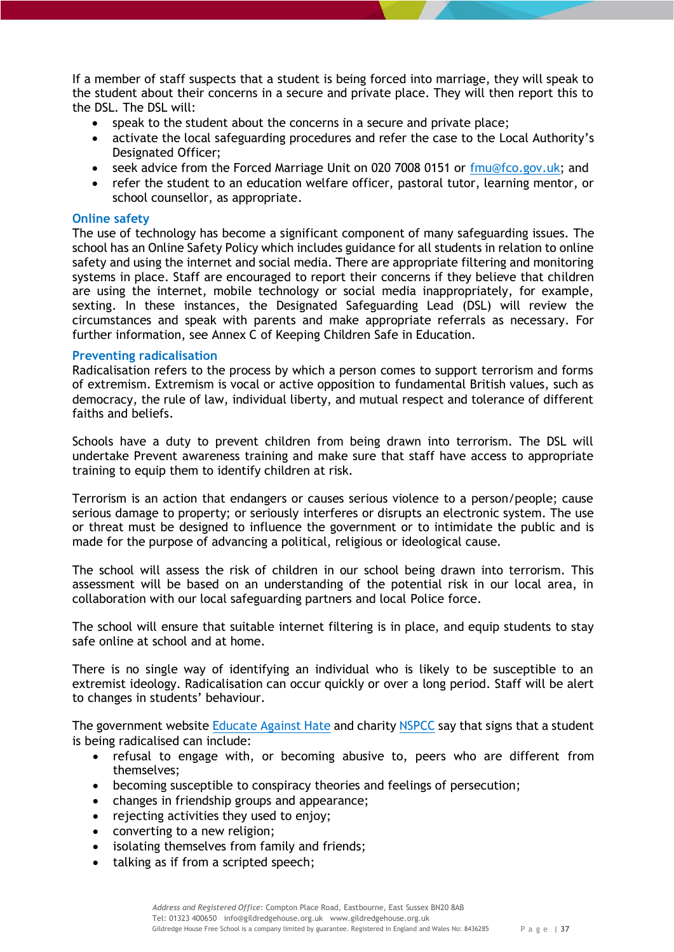If a member of staff suspects that a student is being forced into marriage, they will speak to the student about their concerns in a secure and private place. They will then report this to the DSL. The DSL will:

- speak to the student about the concerns in a secure and private place;
- activate the local safeguarding procedures and refer the case to the Local Authority's Designated Officer;
- seek advice from the Forced Marriage Unit on 020 7008 0151 or [fmu@fco.gov.uk;](mailto:fmu@fco.gov.uk) and
- refer the student to an education welfare officer, pastoral tutor, learning mentor, or school counsellor, as appropriate.

## <span id="page-36-0"></span>**Online safety**

The use of technology has become a significant component of many safeguarding issues. The school has an Online Safety Policy which includes guidance for all students in relation to online safety and using the internet and social media. There are appropriate filtering and monitoring systems in place. Staff are encouraged to report their concerns if they believe that children are using the internet, mobile technology or social media inappropriately, for example, sexting. In these instances, the Designated Safeguarding Lead (DSL) will review the circumstances and speak with parents and make appropriate referrals as necessary. For further information, see Annex C of Keeping Children Safe in Education.

# <span id="page-36-1"></span>**Preventing radicalisation**

Radicalisation refers to the process by which a person comes to support terrorism and forms of extremism. Extremism is vocal or active opposition to fundamental British values, such as democracy, the rule of law, individual liberty, and mutual respect and tolerance of different faiths and beliefs.

Schools have a duty to prevent children from being drawn into terrorism. The DSL will undertake Prevent awareness training and make sure that staff have access to appropriate training to equip them to identify children at risk.

Terrorism is an action that endangers or causes serious violence to a person/people; cause serious damage to property; or seriously interferes or disrupts an electronic system. The use or threat must be designed to influence the government or to intimidate the public and is made for the purpose of advancing a political, religious or ideological cause.

The school will assess the risk of children in our school being drawn into terrorism. This assessment will be based on an understanding of the potential risk in our local area, in collaboration with our local safeguarding partners and local Police force.

The school will ensure that suitable internet filtering is in place, and equip students to stay safe online at school and at home.

There is no single way of identifying an individual who is likely to be susceptible to an extremist ideology. Radicalisation can occur quickly or over a long period. Staff will be alert to changes in students' behaviour.

The government website [Educate Against Hate](http://educateagainsthate.com/parents/what-are-the-warning-signs/) and charit[y NSPCC](https://www.nspcc.org.uk/what-you-can-do/report-abuse/dedicated-helplines/protecting-children-from-radicalisation/) say that signs that a student is being radicalised can include:

- refusal to engage with, or becoming abusive to, peers who are different from themselves;
- becoming susceptible to conspiracy theories and feelings of persecution;
- changes in friendship groups and appearance;
- rejecting activities they used to enjoy;
- converting to a new religion;
- isolating themselves from family and friends;
- talking as if from a scripted speech;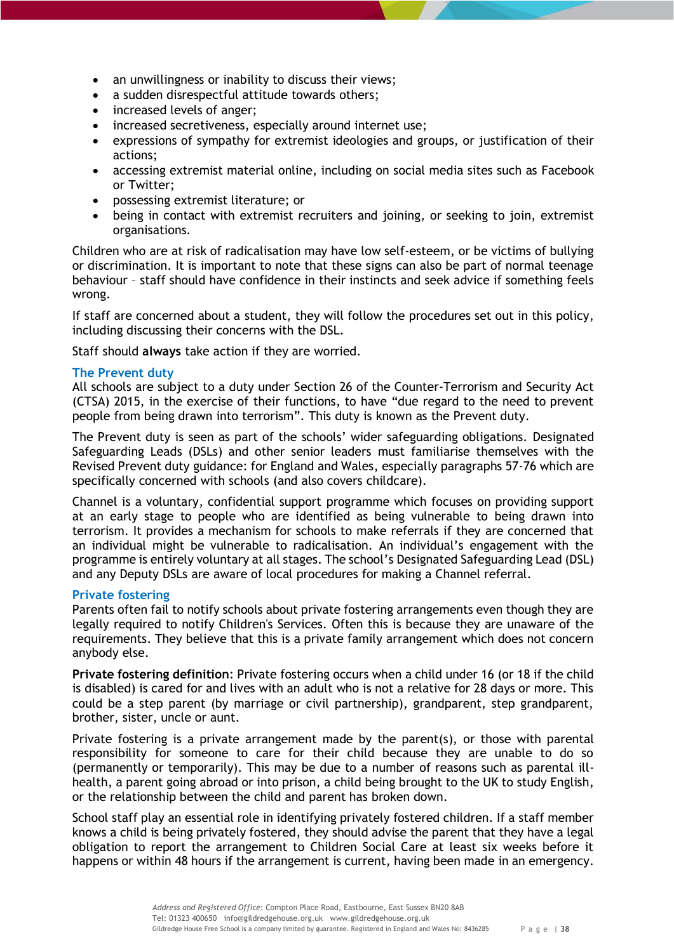- an unwillingness or inability to discuss their views;
- a sudden disrespectful attitude towards others;
- increased levels of anger;
- increased secretiveness, especially around internet use;
- expressions of sympathy for extremist ideologies and groups, or justification of their actions;
- accessing extremist material online, including on social media sites such as Facebook or Twitter;
- possessing extremist literature; or
- being in contact with extremist recruiters and joining, or seeking to join, extremist organisations.

Children who are at risk of radicalisation may have low self-esteem, or be victims of bullying or discrimination. It is important to note that these signs can also be part of normal teenage behaviour – staff should have confidence in their instincts and seek advice if something feels wrong.

If staff are concerned about a student, they will follow the procedures set out in this policy, including discussing their concerns with the DSL.

Staff should **always** take action if they are worried.

## <span id="page-37-0"></span>**The Prevent duty**

All schools are subject to a duty under Section 26 of the Counter-Terrorism and Security Act (CTSA) 2015, in the exercise of their functions, to have "due regard to the need to prevent people from being drawn into terrorism". This duty is known as the Prevent duty.

The Prevent duty is seen as part of the schools' wider safeguarding obligations. Designated Safeguarding Leads (DSLs) and other senior leaders must familiarise themselves with the Revised Prevent duty guidance: for England and Wales, especially paragraphs 57-76 which are specifically concerned with schools (and also covers childcare).

Channel is a voluntary, confidential support programme which focuses on providing support at an early stage to people who are identified as being vulnerable to being drawn into terrorism. It provides a mechanism for schools to make referrals if they are concerned that an individual might be vulnerable to radicalisation. An individual's engagement with the programme is entirely voluntary at all stages. The school's Designated Safeguarding Lead (DSL) and any Deputy DSLs are aware of local procedures for making a Channel referral.

## <span id="page-37-1"></span>**Private fostering**

Parents often fail to notify schools about private fostering arrangements even though they are legally required to notify Children's Services. Often this is because they are unaware of the requirements. They believe that this is a private family arrangement which does not concern anybody else.

<span id="page-37-2"></span>**Private fostering definition**: Private fostering occurs when a child under 16 (or 18 if the child is disabled) is cared for and lives with an adult who is not a relative for 28 days or more. This could be a step parent (by marriage or civil partnership), grandparent, step grandparent, brother, sister, uncle or aunt.

Private fostering is a private arrangement made by the parent(s), or those with parental responsibility for someone to care for their child because they are unable to do so (permanently or temporarily). This may be due to a number of reasons such as parental illhealth, a parent going abroad or into prison, a child being brought to the UK to study English, or the relationship between the child and parent has broken down.

School staff play an essential role in identifying privately fostered children. If a staff member knows a child is being privately fostered, they should advise the parent that they have a legal obligation to report the arrangement to Children Social Care at least six weeks before it happens or within 48 hours if the arrangement is current, having been made in an emergency.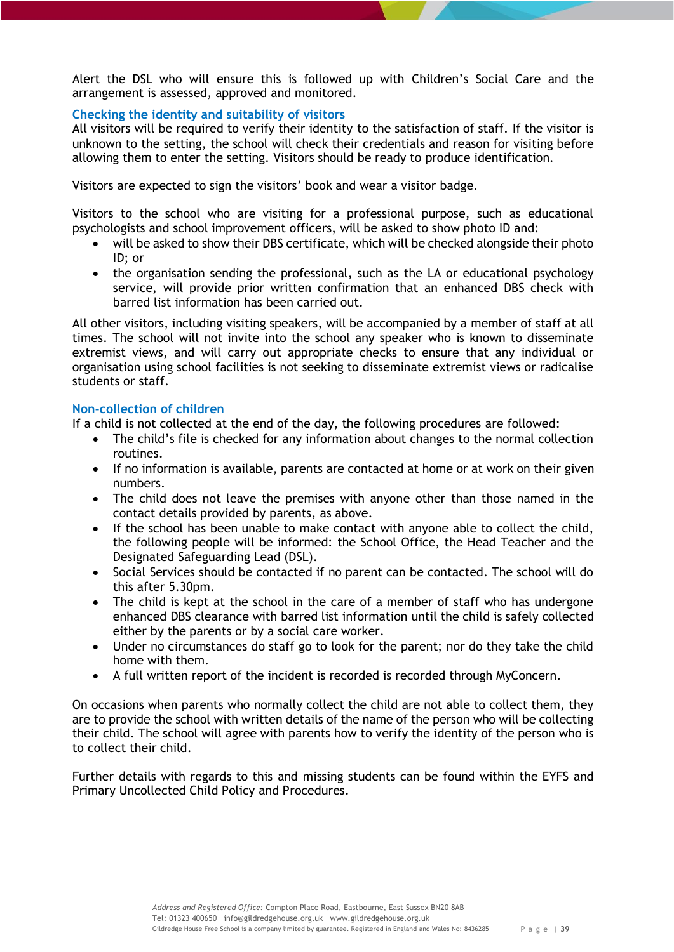Alert the DSL who will ensure this is followed up with Children's Social Care and the arrangement is assessed, approved and monitored.

# <span id="page-38-0"></span>**Checking the identity and suitability of visitors**

All visitors will be required to verify their identity to the satisfaction of staff. If the visitor is unknown to the setting, the school will check their credentials and reason for visiting before allowing them to enter the setting. Visitors should be ready to produce identification.

Visitors are expected to sign the visitors' book and wear a visitor badge.

Visitors to the school who are visiting for a professional purpose, such as educational psychologists and school improvement officers, will be asked to show photo ID and:

- will be asked to show their DBS certificate, which will be checked alongside their photo ID; or
- the organisation sending the professional, such as the LA or educational psychology service, will provide prior written confirmation that an enhanced DBS check with barred list information has been carried out.

All other visitors, including visiting speakers, will be accompanied by a member of staff at all times. The school will not invite into the school any speaker who is known to disseminate extremist views, and will carry out appropriate checks to ensure that any individual or organisation using school facilities is not seeking to disseminate extremist views or radicalise students or staff.

# <span id="page-38-1"></span>**Non-collection of children**

If a child is not collected at the end of the day, the following procedures are followed:

- The child's file is checked for any information about changes to the normal collection routines.
- If no information is available, parents are contacted at home or at work on their given numbers.
- The child does not leave the premises with anyone other than those named in the contact details provided by parents, as above.
- If the school has been unable to make contact with anyone able to collect the child, the following people will be informed: the School Office, the Head Teacher and the Designated Safeguarding Lead (DSL).
- Social Services should be contacted if no parent can be contacted. The school will do this after 5.30pm.
- The child is kept at the school in the care of a member of staff who has undergone enhanced DBS clearance with barred list information until the child is safely collected either by the parents or by a social care worker.
- Under no circumstances do staff go to look for the parent; nor do they take the child home with them.
- A full written report of the incident is recorded is recorded through MyConcern.

On occasions when parents who normally collect the child are not able to collect them, they are to provide the school with written details of the name of the person who will be collecting their child. The school will agree with parents how to verify the identity of the person who is to collect their child.

Further details with regards to this and missing students can be found within the EYFS and Primary Uncollected Child Policy and Procedures.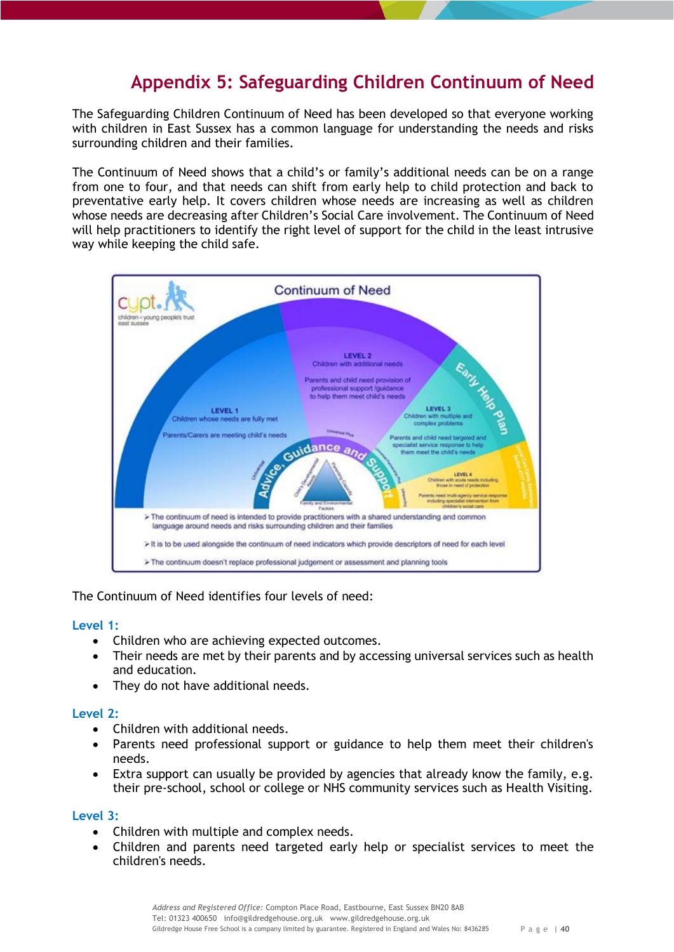# **Appendix 5: Safeguarding Children Continuum of Need**

<span id="page-39-0"></span>The Safeguarding Children Continuum of Need has been developed so that everyone working with children in East Sussex has a common language for understanding the needs and risks surrounding children and their families.

The Continuum of Need shows that a child's or family's additional needs can be on a range from one to four, and that needs can shift from early help to child protection and back to preventative early help. It covers children whose needs are increasing as well as children whose needs are decreasing after Children's Social Care involvement. The Continuum of Need will help practitioners to identify the right level of support for the child in the least intrusive way while keeping the child safe.



# The Continuum of Need identifies four levels of need:

## <span id="page-39-1"></span>**Level 1:**

- Children who are achieving expected outcomes.
- Their needs are met by their parents and by accessing universal services such as health and education.
- They do not have additional needs.

# <span id="page-39-2"></span>**Level 2:**

- Children with additional needs.
- Parents need professional support or guidance to help them meet their children's needs.
- Extra support can usually be provided by agencies that already know the family, e.g. their pre-school, school or college or NHS community services such as Health Visiting.

## <span id="page-39-3"></span>**Level 3:**

- Children with multiple and complex needs.
- Children and parents need targeted early help or specialist services to meet the children's needs.